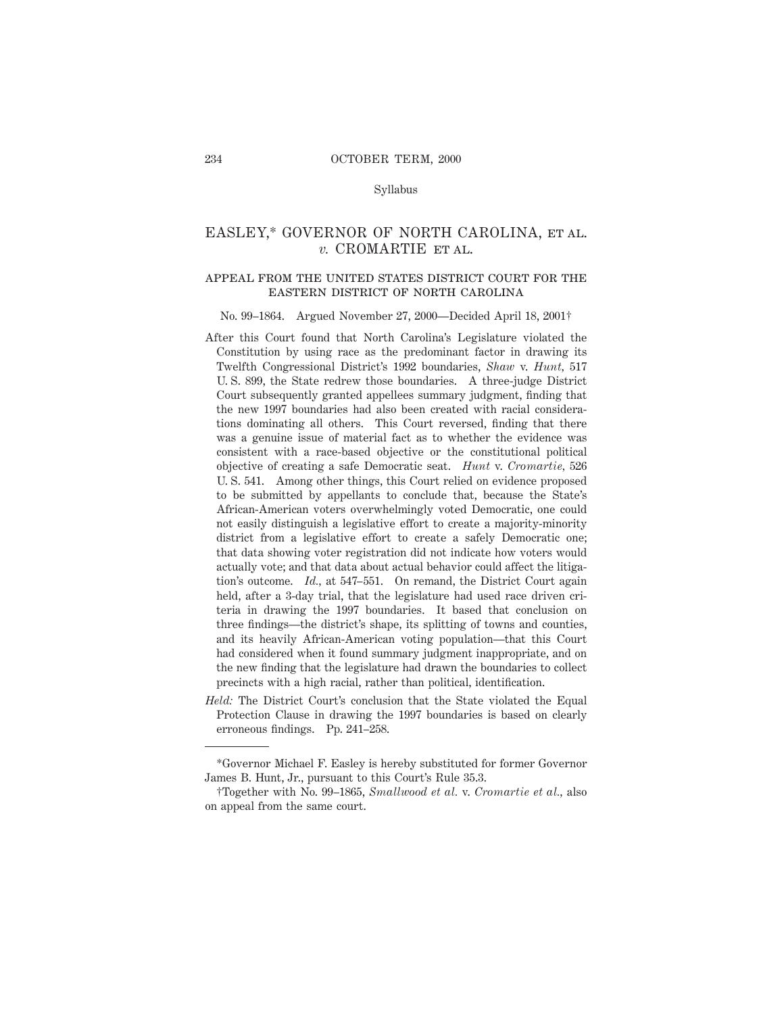#### Syllabus

# EASLEY,\* GOVERNOR OF NORTH CAROLINA, et al. *v.* CROMARTIE et al.

#### appeal from the united states district court for theeastern district of north carolina

### No. 99–1864. Argued November 27, 2000—Decided April 18, 2001†

- After this Court found that North Carolina's Legislature violated the Constitution by using race as the predominant factor in drawing its Twelfth Congressional District's 1992 boundaries, *Shaw* v. *Hunt,* 517 U. S. 899, the State redrew those boundaries. A three-judge District Court subsequently granted appellees summary judgment, finding that the new 1997 boundaries had also been created with racial considerations dominating all others. This Court reversed, finding that there was a genuine issue of material fact as to whether the evidence was consistent with a race-based objective or the constitutional political objective of creating a safe Democratic seat. *Hunt* v. *Cromartie,* 526 U. S. 541. Among other things, this Court relied on evidence proposed to be submitted by appellants to conclude that, because the State's African-American voters overwhelmingly voted Democratic, one could not easily distinguish a legislative effort to create a majority-minority district from a legislative effort to create a safely Democratic one; that data showing voter registration did not indicate how voters would actually vote; and that data about actual behavior could affect the litigation's outcome. *Id.,* at 547–551. On remand, the District Court again held, after a 3-day trial, that the legislature had used race driven criteria in drawing the 1997 boundaries. It based that conclusion on three findings—the district's shape, its splitting of towns and counties, and its heavily African-American voting population—that this Court had considered when it found summary judgment inappropriate, and on the new finding that the legislature had drawn the boundaries to collect precincts with a high racial, rather than political, identification.
- *Held:* The District Court's conclusion that the State violated the Equal Protection Clause in drawing the 1997 boundaries is based on clearly erroneous findings. Pp. 241–258.

<sup>\*</sup>Governor Michael F. Easley is hereby substituted for former Governor James B. Hunt, Jr., pursuant to this Court's Rule 35.3.

<sup>†</sup>Together with No. 99–1865, *Smallwood et al.* v. *Cromartie et al.,* also on appeal from the same court.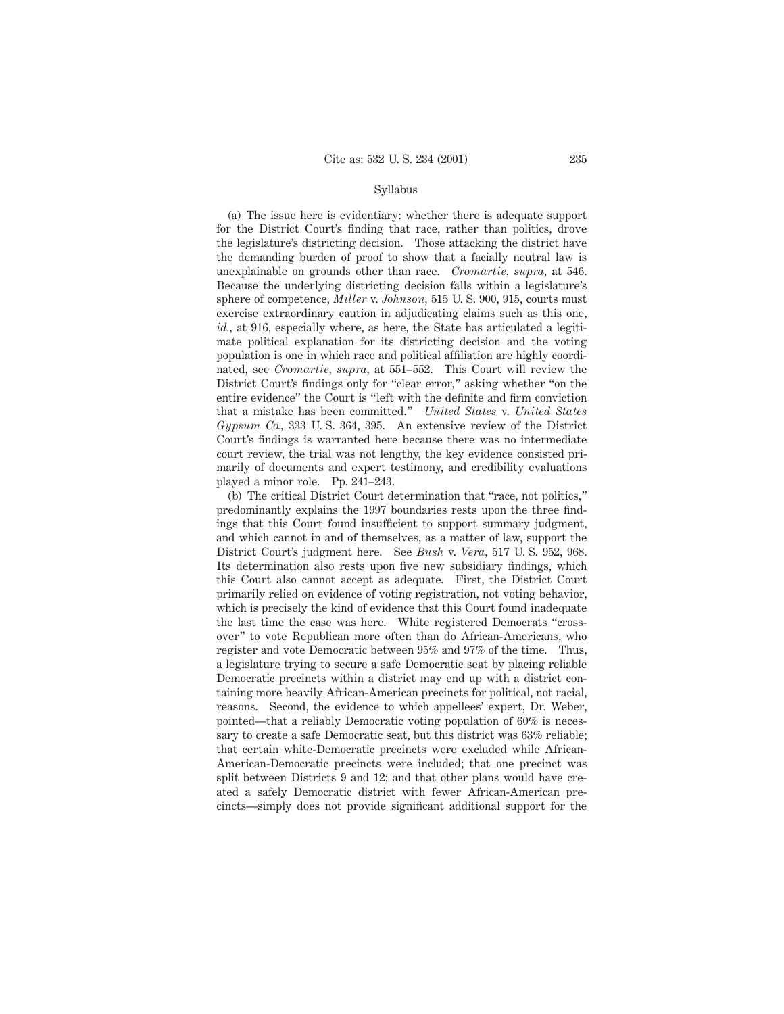#### Syllabus

(a) The issue here is evidentiary: whether there is adequate support for the District Court's finding that race, rather than politics, drove the legislature's districting decision. Those attacking the district have the demanding burden of proof to show that a facially neutral law is unexplainable on grounds other than race. *Cromartie, supra,* at 546. Because the underlying districting decision falls within a legislature's sphere of competence, *Miller* v. *Johnson,* 515 U. S. 900, 915, courts must exercise extraordinary caution in adjudicating claims such as this one, *id.,* at 916, especially where, as here, the State has articulated a legitimate political explanation for its districting decision and the voting population is one in which race and political affiliation are highly coordinated, see *Cromartie, supra,* at 551–552. This Court will review the District Court's findings only for "clear error," asking whether "on the entire evidence" the Court is "left with the definite and firm conviction that a mistake has been committed." *United States* v. *United States Gypsum Co.,* 333 U. S. 364, 395. An extensive review of the District Court's findings is warranted here because there was no intermediate court review, the trial was not lengthy, the key evidence consisted primarily of documents and expert testimony, and credibility evaluations played a minor role. Pp. 241–243.

(b) The critical District Court determination that "race, not politics," predominantly explains the 1997 boundaries rests upon the three findings that this Court found insufficient to support summary judgment, and which cannot in and of themselves, as a matter of law, support the District Court's judgment here. See *Bush* v. *Vera,* 517 U. S. 952, 968. Its determination also rests upon five new subsidiary findings, which this Court also cannot accept as adequate. First, the District Court primarily relied on evidence of voting registration, not voting behavior, which is precisely the kind of evidence that this Court found inadequate the last time the case was here. White registered Democrats "crossover" to vote Republican more often than do African-Americans, who register and vote Democratic between 95% and 97% of the time. Thus, a legislature trying to secure a safe Democratic seat by placing reliable Democratic precincts within a district may end up with a district containing more heavily African-American precincts for political, not racial, reasons. Second, the evidence to which appellees' expert, Dr. Weber, pointed—that a reliably Democratic voting population of 60% is necessary to create a safe Democratic seat, but this district was 63% reliable; that certain white-Democratic precincts were excluded while African-American-Democratic precincts were included; that one precinct was split between Districts 9 and 12; and that other plans would have created a safely Democratic district with fewer African-American precincts—simply does not provide significant additional support for the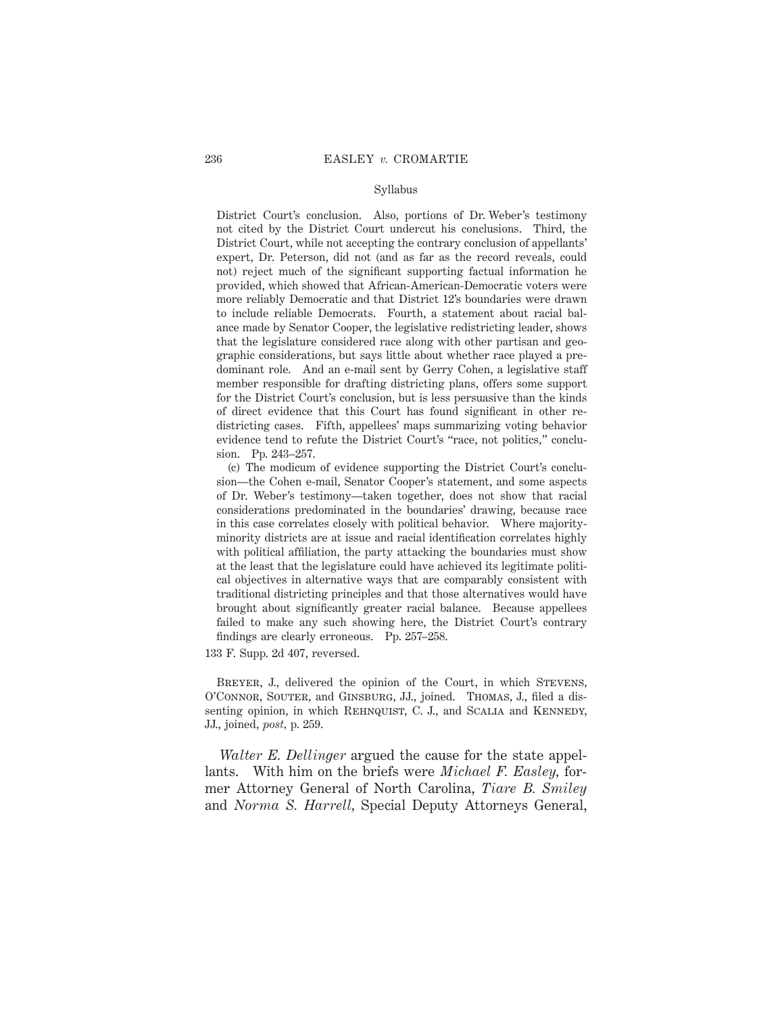#### Syllabus

District Court's conclusion. Also, portions of Dr. Weber's testimony not cited by the District Court undercut his conclusions. Third, the District Court, while not accepting the contrary conclusion of appellants' expert, Dr. Peterson, did not (and as far as the record reveals, could not) reject much of the significant supporting factual information he provided, which showed that African-American-Democratic voters were more reliably Democratic and that District 12's boundaries were drawn to include reliable Democrats. Fourth, a statement about racial balance made by Senator Cooper, the legislative redistricting leader, shows that the legislature considered race along with other partisan and geographic considerations, but says little about whether race played a predominant role. And an e-mail sent by Gerry Cohen, a legislative staff member responsible for drafting districting plans, offers some support for the District Court's conclusion, but is less persuasive than the kinds of direct evidence that this Court has found significant in other redistricting cases. Fifth, appellees' maps summarizing voting behavior evidence tend to refute the District Court's "race, not politics," conclusion. Pp. 243–257.

(c) The modicum of evidence supporting the District Court's conclusion—the Cohen e-mail, Senator Cooper's statement, and some aspects of Dr. Weber's testimony—taken together, does not show that racial considerations predominated in the boundaries' drawing, because race in this case correlates closely with political behavior. Where majorityminority districts are at issue and racial identification correlates highly with political affiliation, the party attacking the boundaries must show at the least that the legislature could have achieved its legitimate political objectives in alternative ways that are comparably consistent with traditional districting principles and that those alternatives would have brought about significantly greater racial balance. Because appellees failed to make any such showing here, the District Court's contrary findings are clearly erroneous. Pp. 257–258.

133 F. Supp. 2d 407, reversed.

BREYER, J., delivered the opinion of the Court, in which STEVENS, O'Connor, Souter, and Ginsburg, JJ., joined. Thomas, J., filed a dissenting opinion, in which REHNQUIST, C. J., and SCALIA and KENNEDY, JJ., joined, *post,* p. 259.

*Walter E. Dellinger* argued the cause for the state appellants. With him on the briefs were *Michael F. Easley,* former Attorney General of North Carolina, *Tiare B. Smiley* and *Norma S. Harrell,* Special Deputy Attorneys General,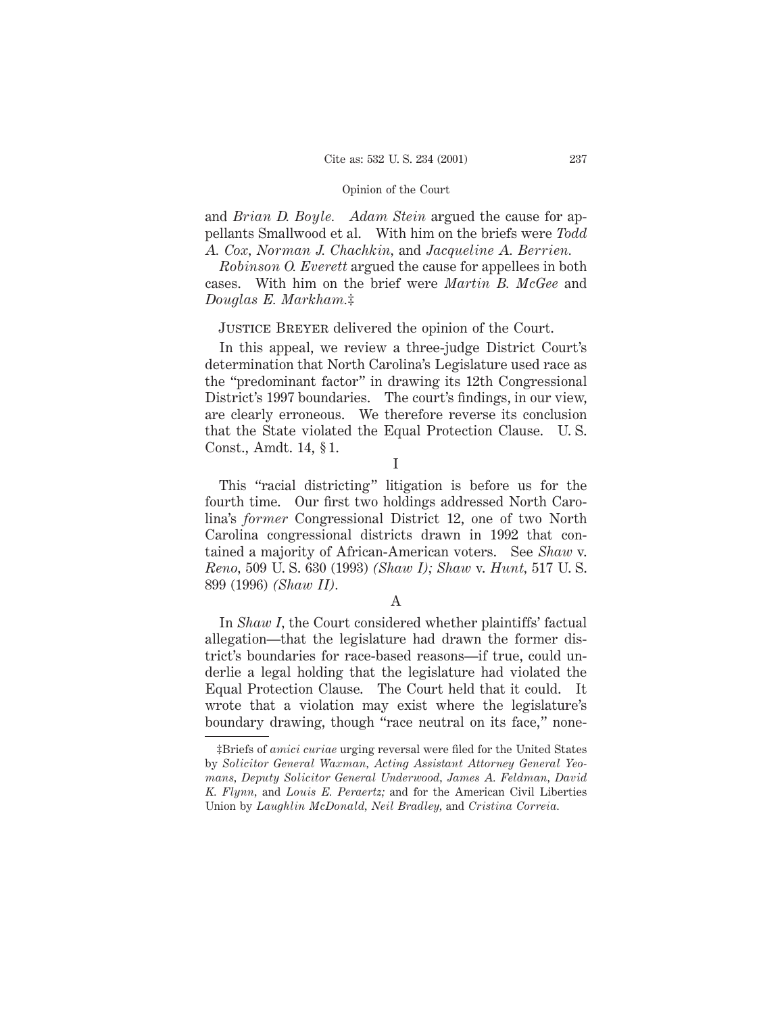and *Brian D. Boyle. Adam Stein* argued the cause for appellants Smallwood et al. With him on the briefs were *Todd A. Cox, Norman J. Chachkin,* and *Jacqueline A. Berrien.*

*Robinson O. Everett* argued the cause for appellees in both cases. With him on the brief were *Martin B. McGee* and *Douglas E. Markham.*‡

# Justice Breyer delivered the opinion of the Court.

In this appeal, we review a three-judge District Court's determination that North Carolina's Legislature used race as the "predominant factor" in drawing its 12th Congressional District's 1997 boundaries. The court's findings, in our view, are clearly erroneous. We therefore reverse its conclusion that the State violated the Equal Protection Clause. U. S. Const., Amdt. 14, § 1.

I

This "racial districting" litigation is before us for the fourth time. Our first two holdings addressed North Carolina's *former* Congressional District 12, one of two North Carolina congressional districts drawn in 1992 that contained a majority of African-American voters. See *Shaw* v. *Reno,* 509 U. S. 630 (1993) *(Shaw I); Shaw* v. *Hunt,* 517 U. S. 899 (1996) *(Shaw II).*

A

In *Shaw I,* the Court considered whether plaintiffs' factual allegation—that the legislature had drawn the former district's boundaries for race-based reasons—if true, could underlie a legal holding that the legislature had violated the Equal Protection Clause. The Court held that it could. It wrote that a violation may exist where the legislature's boundary drawing, though "race neutral on its face," none-

<sup>‡</sup>Briefs of *amici curiae* urging reversal were filed for the United States by *Solicitor General Waxman, Acting Assistant Attorney General Yeomans, Deputy Solicitor General Underwood, James A. Feldman, David K. Flynn,* and *Louis E. Peraertz;* and for the American Civil Liberties Union by *Laughlin McDonald, Neil Bradley,* and *Cristina Correia.*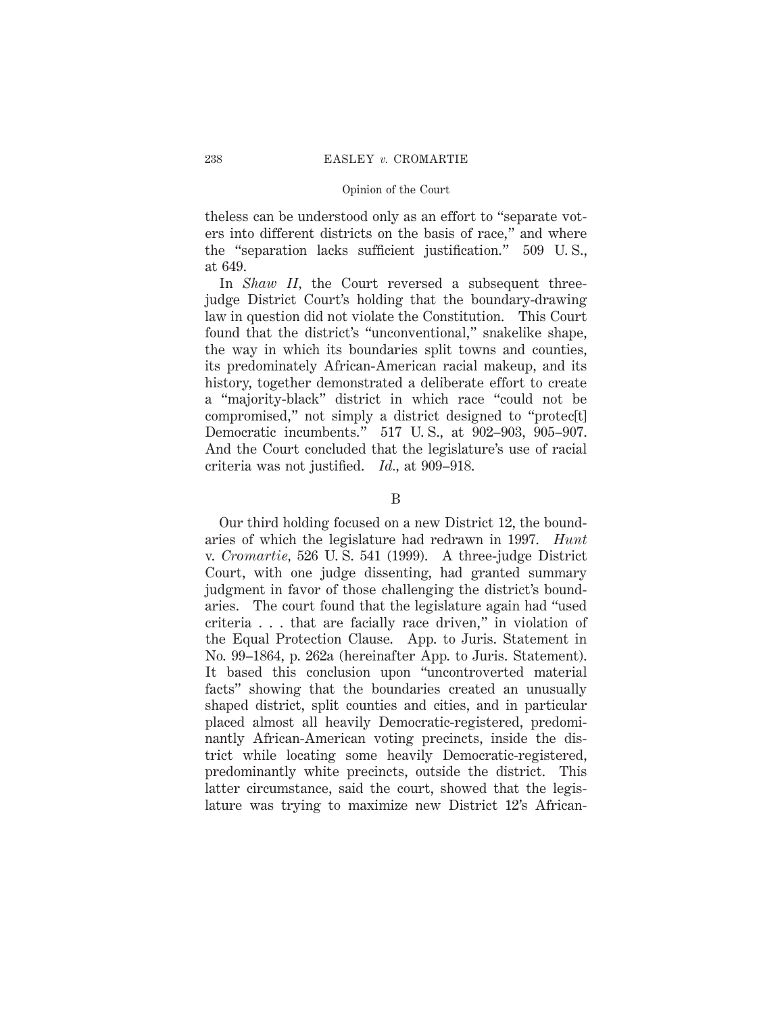theless can be understood only as an effort to "separate voters into different districts on the basis of race," and where the "separation lacks sufficient justification." 509 U. S., at 649.

In *Shaw II*, the Court reversed a subsequent threejudge District Court's holding that the boundary-drawing law in question did not violate the Constitution. This Court found that the district's "unconventional," snakelike shape, the way in which its boundaries split towns and counties, its predominately African-American racial makeup, and its history, together demonstrated a deliberate effort to create a "majority-black" district in which race "could not be compromised," not simply a district designed to "protec[t] Democratic incumbents." 517 U. S., at 902–903, 905–907. And the Court concluded that the legislature's use of racial criteria was not justified. *Id.,* at 909–918.

### B

Our third holding focused on a new District 12, the boundaries of which the legislature had redrawn in 1997. *Hunt* v. *Cromartie,* 526 U. S. 541 (1999). A three-judge District Court, with one judge dissenting, had granted summary judgment in favor of those challenging the district's boundaries. The court found that the legislature again had "used criteria . . . that are facially race driven," in violation of the Equal Protection Clause. App. to Juris. Statement in No. 99–1864, p. 262a (hereinafter App. to Juris. Statement). It based this conclusion upon "uncontroverted material facts" showing that the boundaries created an unusually shaped district, split counties and cities, and in particular placed almost all heavily Democratic-registered, predominantly African-American voting precincts, inside the district while locating some heavily Democratic-registered, predominantly white precincts, outside the district. This latter circumstance, said the court, showed that the legislature was trying to maximize new District 12's African-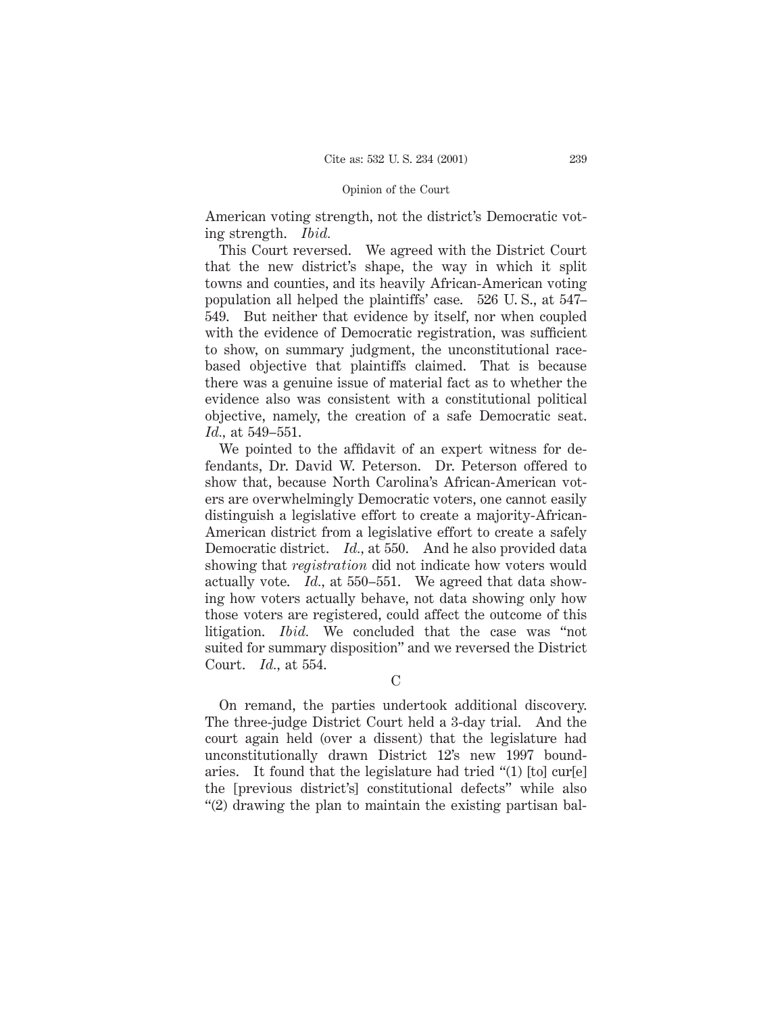American voting strength, not the district's Democratic voting strength. *Ibid.*

This Court reversed. We agreed with the District Court that the new district's shape, the way in which it split towns and counties, and its heavily African-American voting population all helped the plaintiffs' case. 526 U. S., at 547– 549. But neither that evidence by itself, nor when coupled with the evidence of Democratic registration, was sufficient to show, on summary judgment, the unconstitutional racebased objective that plaintiffs claimed. That is because there was a genuine issue of material fact as to whether the evidence also was consistent with a constitutional political objective, namely, the creation of a safe Democratic seat. *Id.,* at 549–551.

We pointed to the affidavit of an expert witness for defendants, Dr. David W. Peterson. Dr. Peterson offered to show that, because North Carolina's African-American voters are overwhelmingly Democratic voters, one cannot easily distinguish a legislative effort to create a majority-African-American district from a legislative effort to create a safely Democratic district. *Id.,* at 550. And he also provided data showing that *registration* did not indicate how voters would actually vote. *Id.,* at 550–551. We agreed that data showing how voters actually behave, not data showing only how those voters are registered, could affect the outcome of this litigation. *Ibid.* We concluded that the case was "not suited for summary disposition" and we reversed the District Court. *Id.,* at 554.

C

On remand, the parties undertook additional discovery. The three-judge District Court held a 3-day trial. And the court again held (over a dissent) that the legislature had unconstitutionally drawn District 12's new 1997 boundaries. It found that the legislature had tried "(1) [to] cur[e] the [previous district's] constitutional defects" while also "(2) drawing the plan to maintain the existing partisan bal-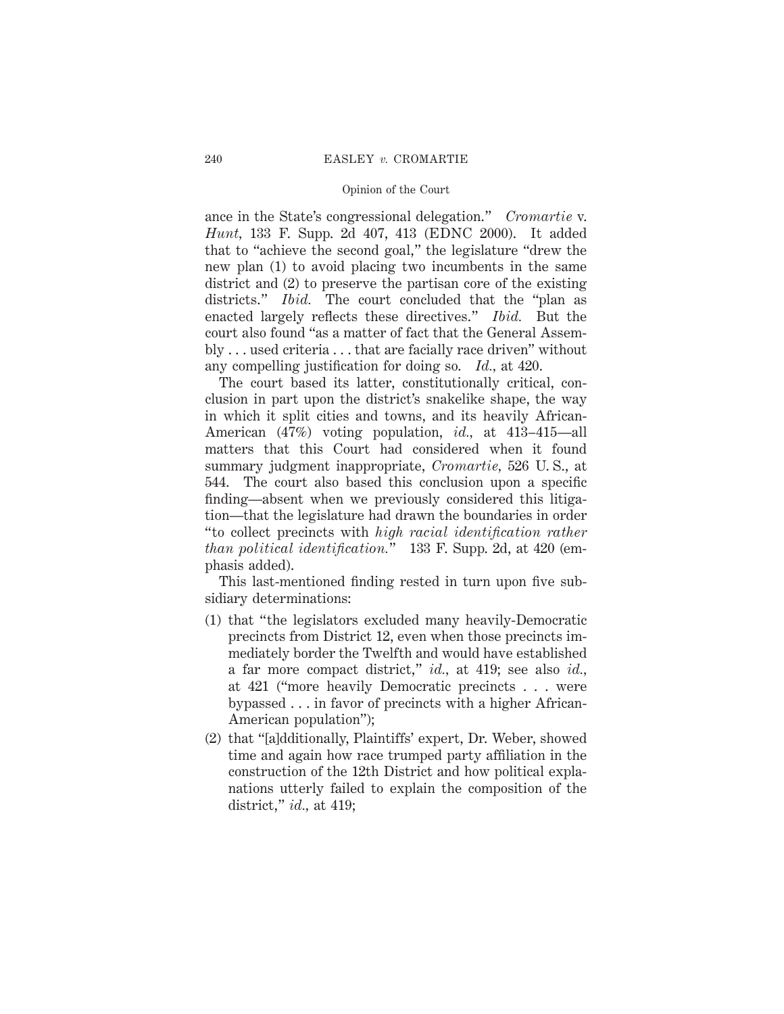ance in the State's congressional delegation." *Cromartie* v. *Hunt,* 133 F. Supp. 2d 407, 413 (EDNC 2000). It added that to "achieve the second goal," the legislature "drew the new plan (1) to avoid placing two incumbents in the same district and (2) to preserve the partisan core of the existing districts." *Ibid.* The court concluded that the "plan as enacted largely reflects these directives." *Ibid.* But the court also found "as a matter of fact that the General Assembly . . . used criteria . . . that are facially race driven" without any compelling justification for doing so. *Id.,* at 420.

The court based its latter, constitutionally critical, conclusion in part upon the district's snakelike shape, the way in which it split cities and towns, and its heavily African-American (47%) voting population, *id.,* at 413–415—all matters that this Court had considered when it found summary judgment inappropriate, *Cromartie,* 526 U. S., at 544. The court also based this conclusion upon a specific finding—absent when we previously considered this litigation—that the legislature had drawn the boundaries in order "to collect precincts with *high racial identification rather than political identification.*" 133 F. Supp. 2d, at 420 (emphasis added).

This last-mentioned finding rested in turn upon five subsidiary determinations:

- (1) that "the legislators excluded many heavily-Democratic precincts from District 12, even when those precincts immediately border the Twelfth and would have established a far more compact district," *id.,* at 419; see also *id.,* at 421 ("more heavily Democratic precincts . . . were bypassed . . . in favor of precincts with a higher African-American population");
- (2) that "[a]dditionally, Plaintiffs' expert, Dr. Weber, showed time and again how race trumped party affiliation in the construction of the 12th District and how political explanations utterly failed to explain the composition of the district," *id.,* at 419;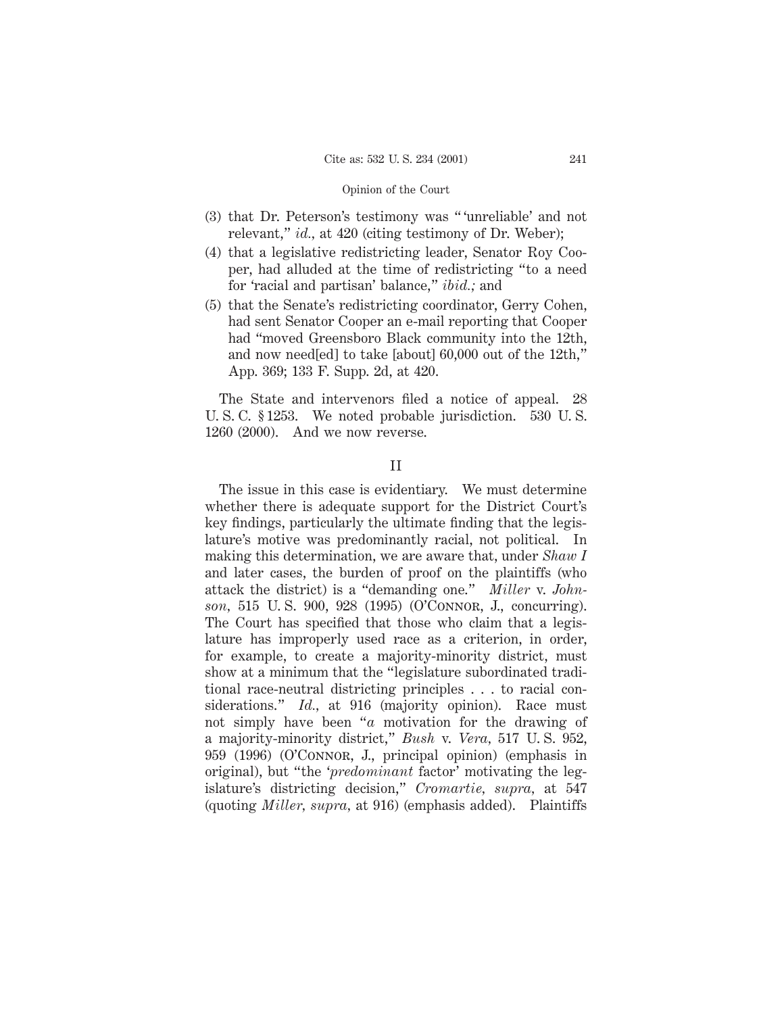- (3) that Dr. Peterson's testimony was " 'unreliable' and not relevant," *id.*, at 420 (citing testimony of Dr. Weber);
- (4) that a legislative redistricting leader, Senator Roy Cooper, had alluded at the time of redistricting "to a need for 'racial and partisan' balance," *ibid.;* and
- (5) that the Senate's redistricting coordinator, Gerry Cohen, had sent Senator Cooper an e-mail reporting that Cooper had "moved Greensboro Black community into the 12th, and now need[ed] to take [about] 60,000 out of the 12th," App. 369; 133 F. Supp. 2d, at 420.

The State and intervenors filed a notice of appeal. 28 U. S. C. § 1253. We noted probable jurisdiction. 530 U. S. 1260 (2000). And we now reverse.

### II

The issue in this case is evidentiary. We must determine whether there is adequate support for the District Court's key findings, particularly the ultimate finding that the legislature's motive was predominantly racial, not political. In making this determination, we are aware that, under *Shaw I* and later cases, the burden of proof on the plaintiffs (who attack the district) is a "demanding one." *Miller* v. *Johnson,* 515 U. S. 900, 928 (1995) (O'Connor, J., concurring). The Court has specified that those who claim that a legislature has improperly used race as a criterion, in order, for example, to create a majority-minority district, must show at a minimum that the "legislature subordinated traditional race-neutral districting principles . . . to racial considerations." *Id.*, at 916 (majority opinion). Race must not simply have been "*a* motivation for the drawing of a majority-minority district," *Bush* v. *Vera,* 517 U. S. 952, 959 (1996) (O'Connor, J., principal opinion) (emphasis in original), but "the '*predominant* factor' motivating the legislature's districting decision," *Cromartie, supra,* at 547 (quoting *Miller, supra,* at 916) (emphasis added). Plaintiffs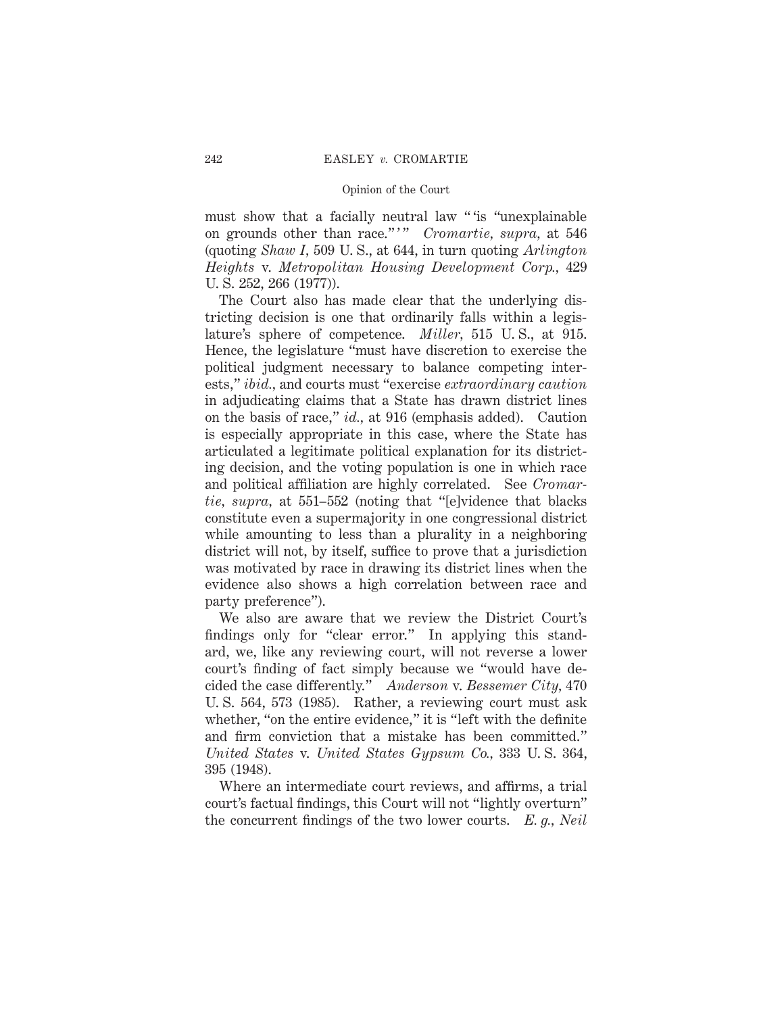must show that a facially neutral law " 'is "unexplainable on grounds other than race."<sup>"</sup> *Cromartie, supra,* at 546 (quoting *Shaw I,* 509 U. S., at 644, in turn quoting *Arlington Heights* v. *Metropolitan Housing Development Corp.,* 429 U. S. 252, 266 (1977)).

The Court also has made clear that the underlying districting decision is one that ordinarily falls within a legislature's sphere of competence. *Miller,* 515 U. S., at 915. Hence, the legislature "must have discretion to exercise the political judgment necessary to balance competing interests," *ibid.,* and courts must "exercise *extraordinary caution* in adjudicating claims that a State has drawn district lines on the basis of race," *id.,* at 916 (emphasis added). Caution is especially appropriate in this case, where the State has articulated a legitimate political explanation for its districting decision, and the voting population is one in which race and political affiliation are highly correlated. See *Cromartie, supra,* at 551–552 (noting that "[e]vidence that blacks constitute even a supermajority in one congressional district while amounting to less than a plurality in a neighboring district will not, by itself, suffice to prove that a jurisdiction was motivated by race in drawing its district lines when the evidence also shows a high correlation between race and party preference").

We also are aware that we review the District Court's findings only for "clear error." In applying this standard, we, like any reviewing court, will not reverse a lower court's finding of fact simply because we "would have decided the case differently." *Anderson* v. *Bessemer City,* 470 U. S. 564, 573 (1985). Rather, a reviewing court must ask whether, "on the entire evidence," it is "left with the definite and firm conviction that a mistake has been committed." *United States* v. *United States Gypsum Co.,* 333 U. S. 364, 395 (1948).

Where an intermediate court reviews, and affirms, a trial court's factual findings, this Court will not "lightly overturn" the concurrent findings of the two lower courts. *E. g., Neil*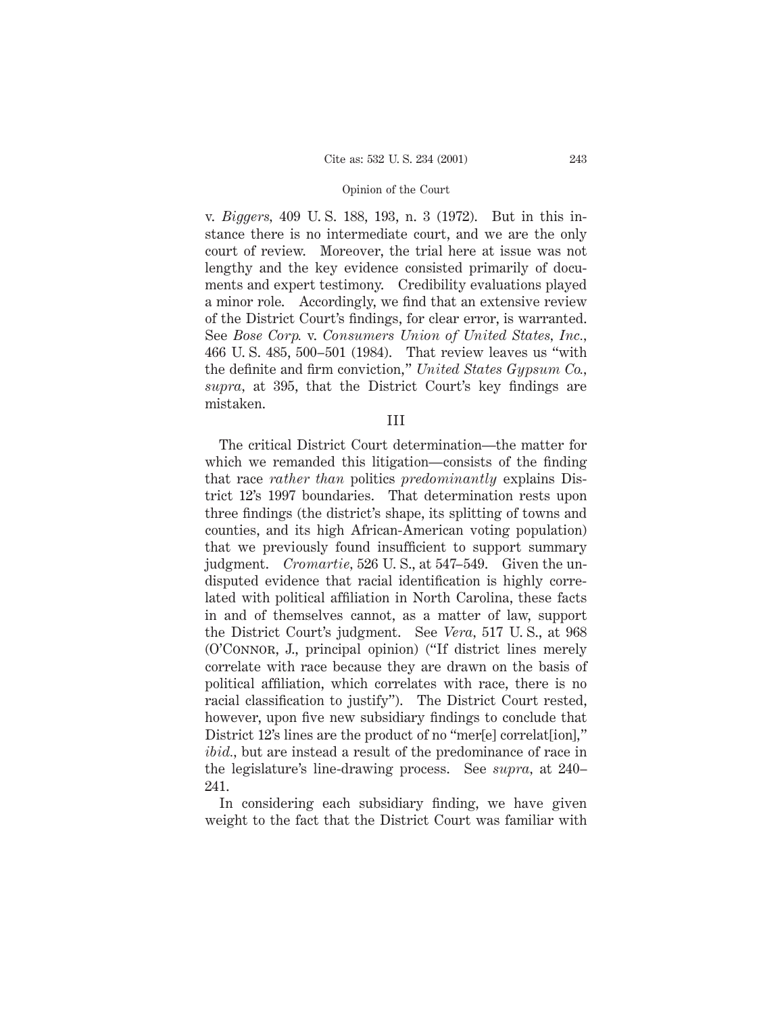v. *Biggers,* 409 U. S. 188, 193, n. 3 (1972). But in this instance there is no intermediate court, and we are the only court of review. Moreover, the trial here at issue was not lengthy and the key evidence consisted primarily of documents and expert testimony. Credibility evaluations played a minor role. Accordingly, we find that an extensive review of the District Court's findings, for clear error, is warranted. See *Bose Corp.* v. *Consumers Union of United States, Inc.,* 466 U. S. 485, 500–501 (1984). That review leaves us "with the definite and firm conviction," *United States Gypsum Co., supra,* at 395, that the District Court's key findings are mistaken.

III

The critical District Court determination—the matter for which we remanded this litigation—consists of the finding that race *rather than* politics *predominantly* explains District 12's 1997 boundaries. That determination rests upon three findings (the district's shape, its splitting of towns and counties, and its high African-American voting population) that we previously found insufficient to support summary judgment. *Cromartie,* 526 U. S., at 547–549. Given the undisputed evidence that racial identification is highly correlated with political affiliation in North Carolina, these facts in and of themselves cannot, as a matter of law, support the District Court's judgment. See *Vera,* 517 U. S., at 968 (O'Connor, J., principal opinion) ("If district lines merely correlate with race because they are drawn on the basis of political affiliation, which correlates with race, there is no racial classification to justify"). The District Court rested, however, upon five new subsidiary findings to conclude that District 12's lines are the product of no "mer[e] correlat[ion]," *ibid.,* but are instead a result of the predominance of race in the legislature's line-drawing process. See *supra,* at 240– 241.

In considering each subsidiary finding, we have given weight to the fact that the District Court was familiar with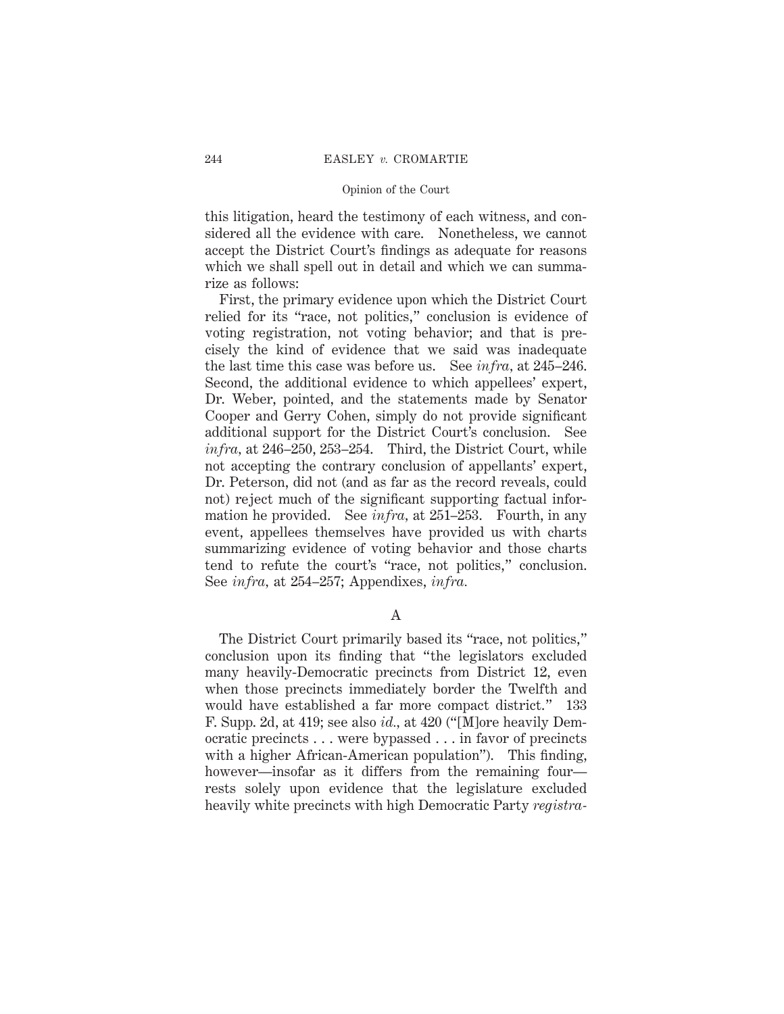this litigation, heard the testimony of each witness, and considered all the evidence with care. Nonetheless, we cannot accept the District Court's findings as adequate for reasons which we shall spell out in detail and which we can summarize as follows:

First, the primary evidence upon which the District Court relied for its "race, not politics," conclusion is evidence of voting registration, not voting behavior; and that is precisely the kind of evidence that we said was inadequate the last time this case was before us. See *infra,* at 245–246. Second, the additional evidence to which appellees' expert, Dr. Weber, pointed, and the statements made by Senator Cooper and Gerry Cohen, simply do not provide significant additional support for the District Court's conclusion. See *infra,* at 246–250, 253–254. Third, the District Court, while not accepting the contrary conclusion of appellants' expert, Dr. Peterson, did not (and as far as the record reveals, could not) reject much of the significant supporting factual information he provided. See *infra,* at 251–253. Fourth, in any event, appellees themselves have provided us with charts summarizing evidence of voting behavior and those charts tend to refute the court's "race, not politics," conclusion. See *infra,* at 254–257; Appendixes, *infra.*

A

The District Court primarily based its "race, not politics," conclusion upon its finding that "the legislators excluded many heavily-Democratic precincts from District 12, even when those precincts immediately border the Twelfth and would have established a far more compact district." 133 F. Supp. 2d, at 419; see also *id.,* at 420 ("[M]ore heavily Democratic precincts . . . were bypassed . . . in favor of precincts with a higher African-American population"). This finding, however—insofar as it differs from the remaining four rests solely upon evidence that the legislature excluded heavily white precincts with high Democratic Party *registra-*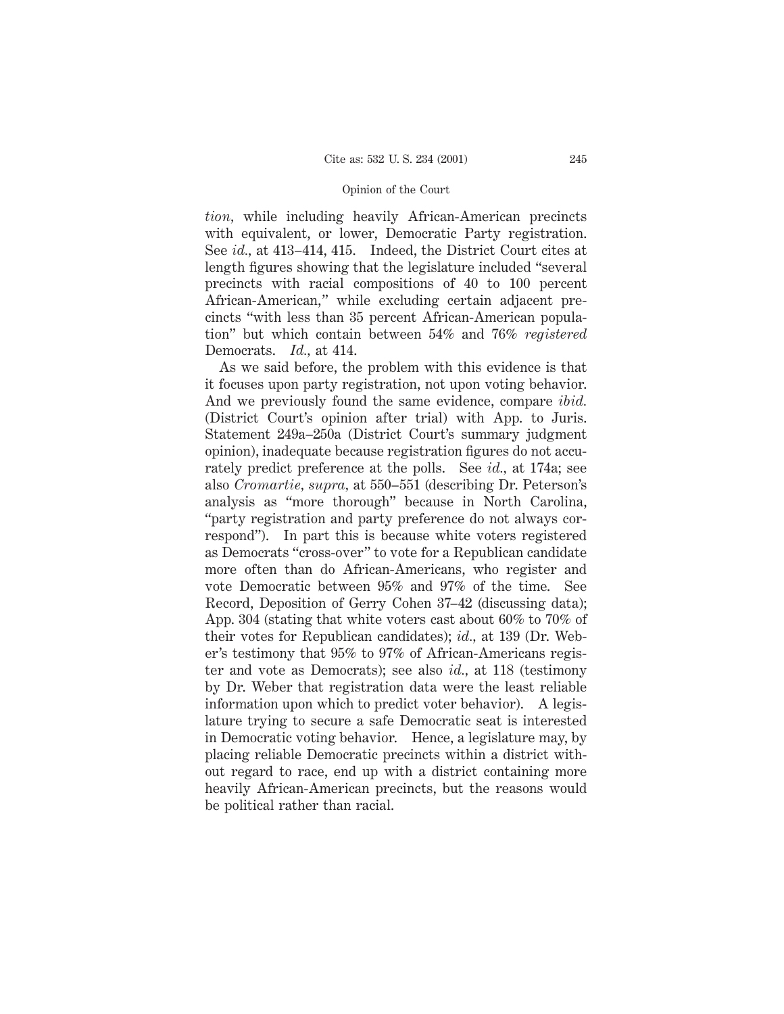*tion,* while including heavily African-American precincts with equivalent, or lower, Democratic Party registration. See *id.,* at 413–414, 415. Indeed, the District Court cites at length figures showing that the legislature included "several precincts with racial compositions of 40 to 100 percent African-American," while excluding certain adjacent precincts "with less than 35 percent African-American population" but which contain between 54% and 76% *registered* Democrats. *Id.,* at 414.

As we said before, the problem with this evidence is that it focuses upon party registration, not upon voting behavior. And we previously found the same evidence, compare *ibid.* (District Court's opinion after trial) with App. to Juris. Statement 249a–250a (District Court's summary judgment opinion), inadequate because registration figures do not accurately predict preference at the polls. See *id.,* at 174a; see also *Cromartie, supra,* at 550–551 (describing Dr. Peterson's analysis as "more thorough" because in North Carolina, "party registration and party preference do not always correspond"). In part this is because white voters registered as Democrats "cross-over" to vote for a Republican candidate more often than do African-Americans, who register and vote Democratic between 95% and 97% of the time. See Record, Deposition of Gerry Cohen 37–42 (discussing data); App. 304 (stating that white voters cast about 60% to 70% of their votes for Republican candidates); *id.,* at 139 (Dr. Weber's testimony that 95% to 97% of African-Americans register and vote as Democrats); see also *id.,* at 118 (testimony by Dr. Weber that registration data were the least reliable information upon which to predict voter behavior). A legislature trying to secure a safe Democratic seat is interested in Democratic voting behavior. Hence, a legislature may, by placing reliable Democratic precincts within a district without regard to race, end up with a district containing more heavily African-American precincts, but the reasons would be political rather than racial.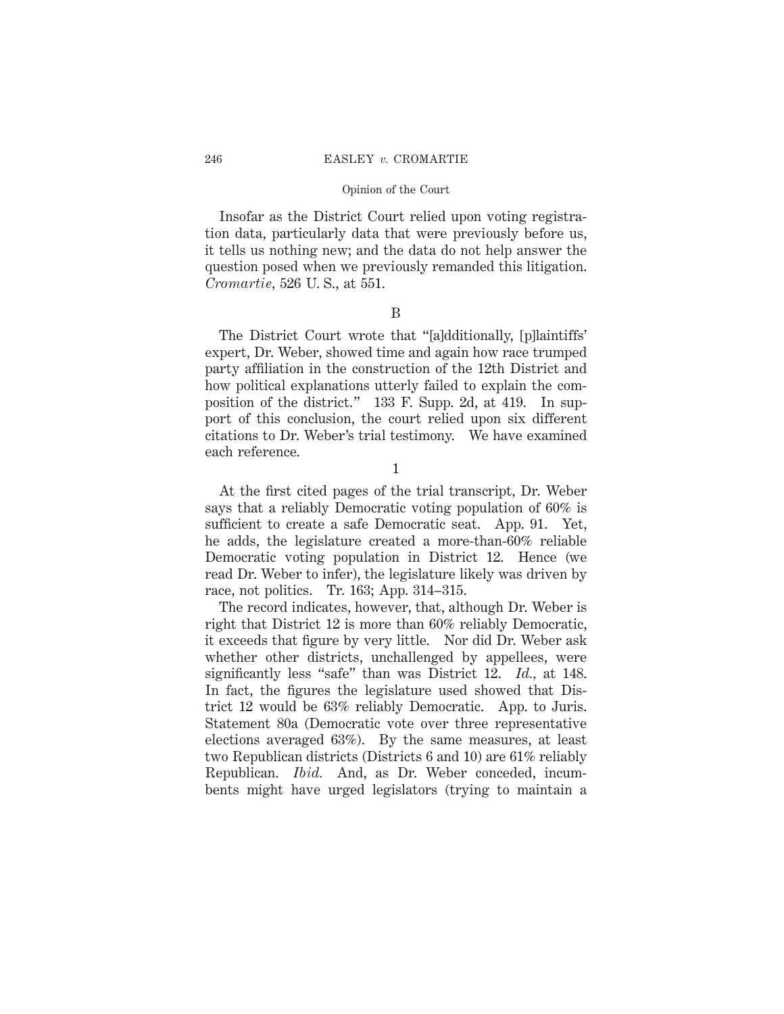#### 246 EASLEY *v.* CROMARTIE

#### Opinion of the Court

Insofar as the District Court relied upon voting registration data, particularly data that were previously before us, it tells us nothing new; and the data do not help answer the question posed when we previously remanded this litigation. *Cromartie,* 526 U. S., at 551.

# B

The District Court wrote that "[a]dditionally, [p]laintiffs' expert, Dr. Weber, showed time and again how race trumped party affiliation in the construction of the 12th District and how political explanations utterly failed to explain the composition of the district." 133 F. Supp. 2d, at 419. In support of this conclusion, the court relied upon six different citations to Dr. Weber's trial testimony. We have examined each reference.

1

At the first cited pages of the trial transcript, Dr. Weber says that a reliably Democratic voting population of 60% is sufficient to create a safe Democratic seat. App. 91. Yet, he adds, the legislature created a more-than-60% reliable Democratic voting population in District 12. Hence (we read Dr. Weber to infer), the legislature likely was driven by race, not politics. Tr. 163; App. 314–315.

The record indicates, however, that, although Dr. Weber is right that District 12 is more than 60% reliably Democratic, it exceeds that figure by very little. Nor did Dr. Weber ask whether other districts, unchallenged by appellees, were significantly less "safe" than was District 12. *Id.,* at 148. In fact, the figures the legislature used showed that District 12 would be 63% reliably Democratic. App. to Juris. Statement 80a (Democratic vote over three representative elections averaged 63%). By the same measures, at least two Republican districts (Districts 6 and 10) are 61% reliably Republican. *Ibid.* And, as Dr. Weber conceded, incumbents might have urged legislators (trying to maintain a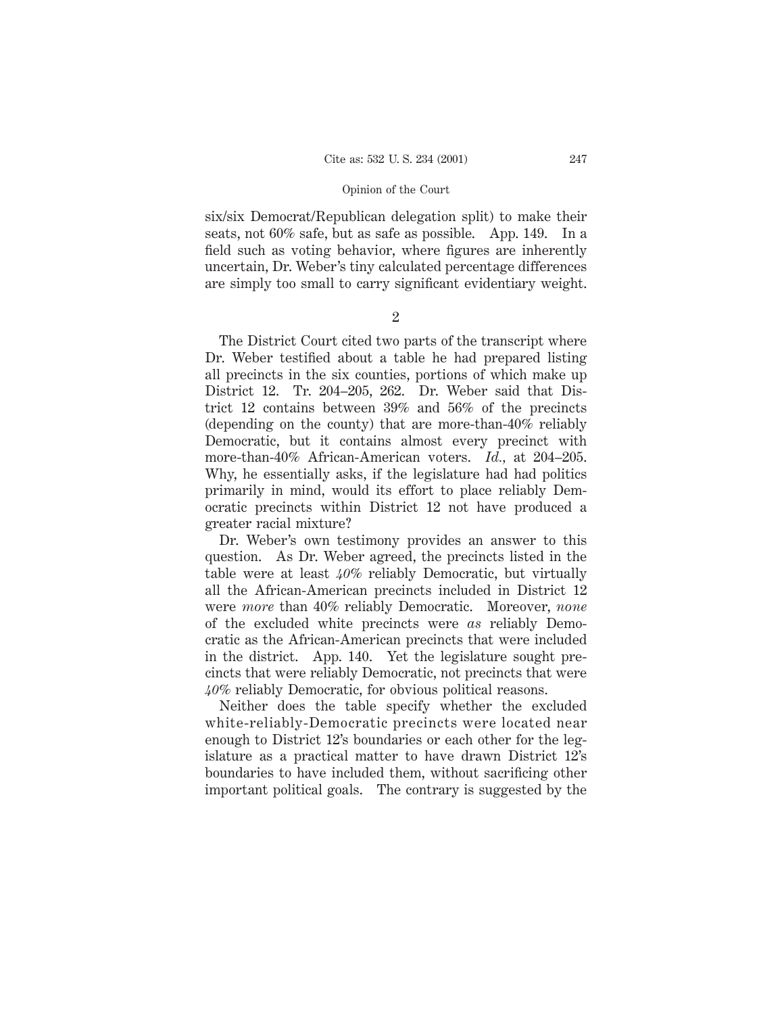six/six Democrat/Republican delegation split) to make their seats, not 60% safe, but as safe as possible. App. 149. In a field such as voting behavior, where figures are inherently uncertain, Dr. Weber's tiny calculated percentage differences are simply too small to carry significant evidentiary weight.

2

The District Court cited two parts of the transcript where Dr. Weber testified about a table he had prepared listing all precincts in the six counties, portions of which make up District 12. Tr. 204–205, 262. Dr. Weber said that District 12 contains between 39% and 56% of the precincts (depending on the county) that are more-than-40% reliably Democratic, but it contains almost every precinct with more-than-40% African-American voters. *Id.,* at 204–205. Why, he essentially asks, if the legislature had had politics primarily in mind, would its effort to place reliably Democratic precincts within District 12 not have produced a greater racial mixture?

Dr. Weber's own testimony provides an answer to this question. As Dr. Weber agreed, the precincts listed in the table were at least *40%* reliably Democratic, but virtually all the African-American precincts included in District 12 were *more* than 40% reliably Democratic. Moreover, *none* of the excluded white precincts were *as* reliably Democratic as the African-American precincts that were included in the district. App. 140. Yet the legislature sought precincts that were reliably Democratic, not precincts that were *40%* reliably Democratic, for obvious political reasons.

Neither does the table specify whether the excluded white-reliably-Democratic precincts were located near enough to District 12's boundaries or each other for the legislature as a practical matter to have drawn District 12's boundaries to have included them, without sacrificing other important political goals. The contrary is suggested by the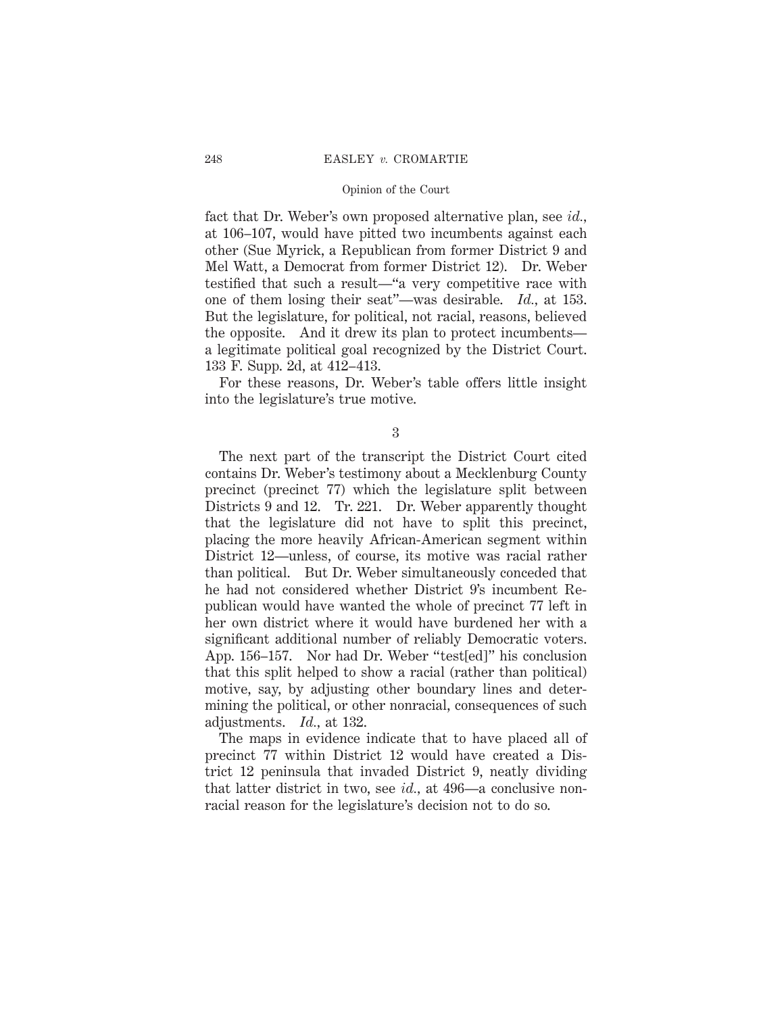fact that Dr. Weber's own proposed alternative plan, see *id.,* at 106–107, would have pitted two incumbents against each other (Sue Myrick, a Republican from former District 9 and Mel Watt, a Democrat from former District 12). Dr. Weber testified that such a result—"a very competitive race with one of them losing their seat"—was desirable. *Id.,* at 153. But the legislature, for political, not racial, reasons, believed the opposite. And it drew its plan to protect incumbents a legitimate political goal recognized by the District Court. 133 F. Supp. 2d, at 412–413.

For these reasons, Dr. Weber's table offers little insight into the legislature's true motive.

3

The next part of the transcript the District Court cited contains Dr. Weber's testimony about a Mecklenburg County precinct (precinct 77) which the legislature split between Districts 9 and 12. Tr. 221. Dr. Weber apparently thought that the legislature did not have to split this precinct, placing the more heavily African-American segment within District 12—unless, of course, its motive was racial rather than political. But Dr. Weber simultaneously conceded that he had not considered whether District 9's incumbent Republican would have wanted the whole of precinct 77 left in her own district where it would have burdened her with a significant additional number of reliably Democratic voters. App. 156–157. Nor had Dr. Weber "test[ed]" his conclusion that this split helped to show a racial (rather than political) motive, say, by adjusting other boundary lines and determining the political, or other nonracial, consequences of such adjustments. *Id.,* at 132.

The maps in evidence indicate that to have placed all of precinct 77 within District 12 would have created a District 12 peninsula that invaded District 9, neatly dividing that latter district in two, see *id.,* at 496—a conclusive nonracial reason for the legislature's decision not to do so.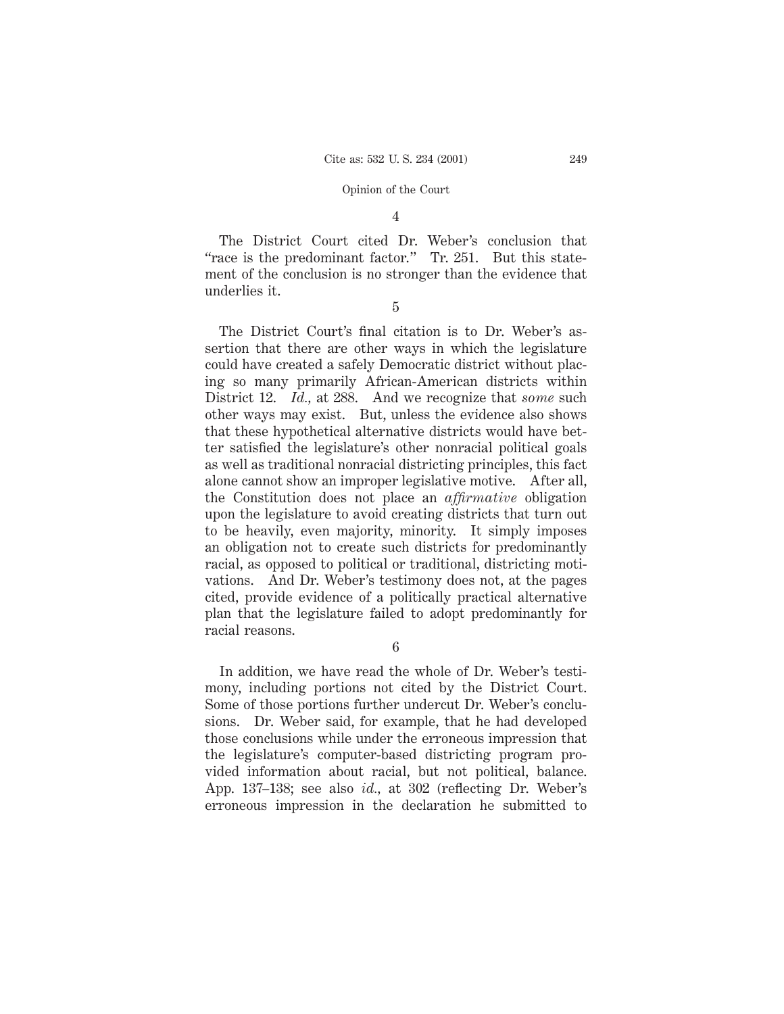# 4

The District Court cited Dr. Weber's conclusion that "race is the predominant factor." Tr. 251. But this statement of the conclusion is no stronger than the evidence that underlies it.

5

The District Court's final citation is to Dr. Weber's assertion that there are other ways in which the legislature could have created a safely Democratic district without placing so many primarily African-American districts within District 12. *Id.,* at 288. And we recognize that *some* such other ways may exist. But, unless the evidence also shows that these hypothetical alternative districts would have better satisfied the legislature's other nonracial political goals as well as traditional nonracial districting principles, this fact alone cannot show an improper legislative motive. After all, the Constitution does not place an *affirmative* obligation upon the legislature to avoid creating districts that turn out to be heavily, even majority, minority. It simply imposes an obligation not to create such districts for predominantly racial, as opposed to political or traditional, districting motivations. And Dr. Weber's testimony does not, at the pages cited, provide evidence of a politically practical alternative plan that the legislature failed to adopt predominantly for racial reasons.

6

In addition, we have read the whole of Dr. Weber's testimony, including portions not cited by the District Court. Some of those portions further undercut Dr. Weber's conclusions. Dr. Weber said, for example, that he had developed those conclusions while under the erroneous impression that the legislature's computer-based districting program provided information about racial, but not political, balance. App. 137–138; see also *id.,* at 302 (reflecting Dr. Weber's erroneous impression in the declaration he submitted to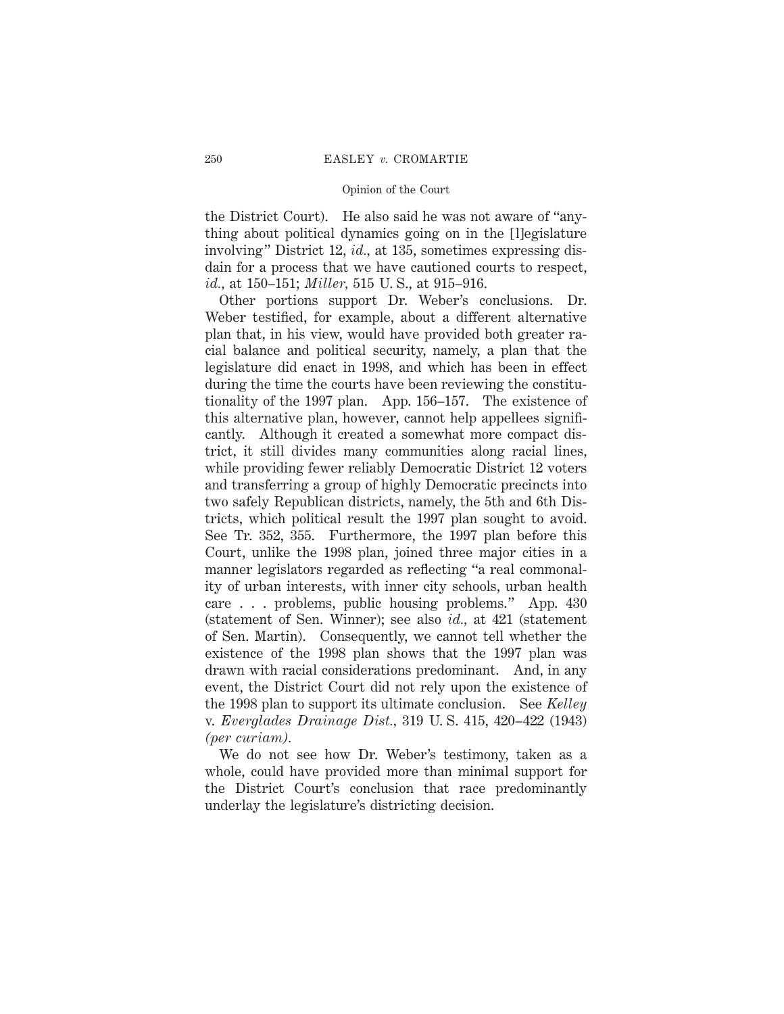the District Court). He also said he was not aware of "anything about political dynamics going on in the [l]egislature involving" District 12, *id.,* at 135, sometimes expressing disdain for a process that we have cautioned courts to respect, *id.,* at 150–151; *Miller,* 515 U. S., at 915–916.

Other portions support Dr. Weber's conclusions. Dr. Weber testified, for example, about a different alternative plan that, in his view, would have provided both greater racial balance and political security, namely, a plan that the legislature did enact in 1998, and which has been in effect during the time the courts have been reviewing the constitutionality of the 1997 plan. App. 156–157. The existence of this alternative plan, however, cannot help appellees significantly. Although it created a somewhat more compact district, it still divides many communities along racial lines, while providing fewer reliably Democratic District 12 voters and transferring a group of highly Democratic precincts into two safely Republican districts, namely, the 5th and 6th Districts, which political result the 1997 plan sought to avoid. See Tr. 352, 355. Furthermore, the 1997 plan before this Court, unlike the 1998 plan, joined three major cities in a manner legislators regarded as reflecting "a real commonality of urban interests, with inner city schools, urban health care . . . problems, public housing problems." App. 430 (statement of Sen. Winner); see also *id.,* at 421 (statement of Sen. Martin). Consequently, we cannot tell whether the existence of the 1998 plan shows that the 1997 plan was drawn with racial considerations predominant. And, in any event, the District Court did not rely upon the existence of the 1998 plan to support its ultimate conclusion. See *Kelley* v. *Everglades Drainage Dist.,* 319 U. S. 415, 420–422 (1943) *(per curiam).*

We do not see how Dr. Weber's testimony, taken as a whole, could have provided more than minimal support for the District Court's conclusion that race predominantly underlay the legislature's districting decision.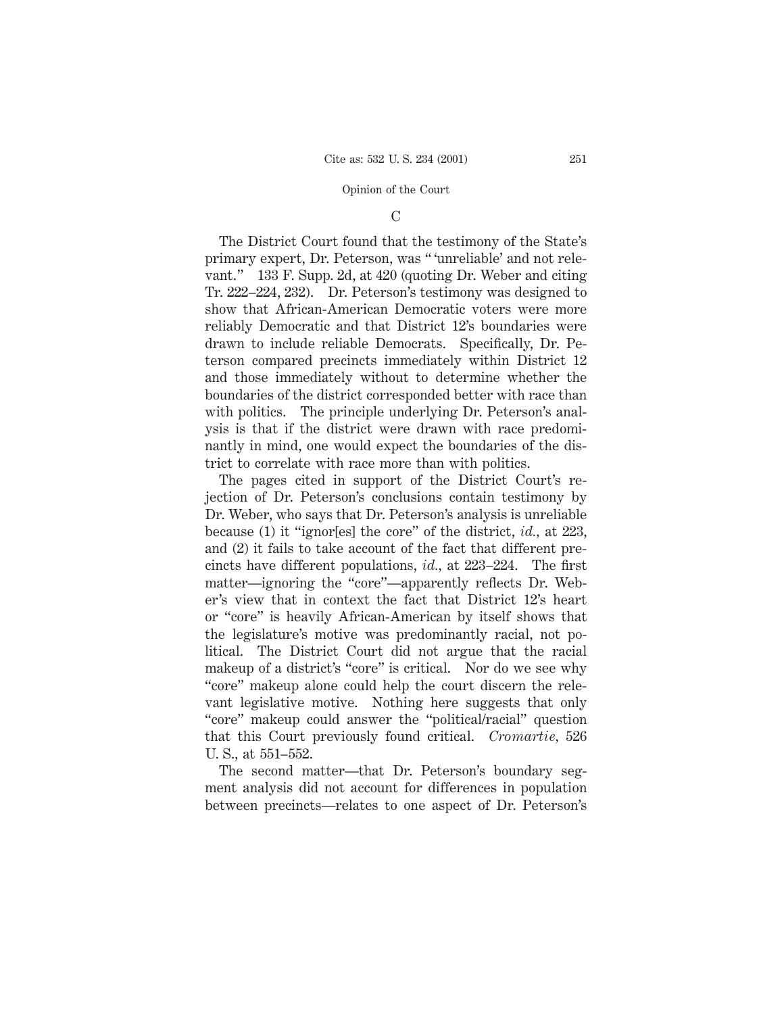### C

The District Court found that the testimony of the State's primary expert, Dr. Peterson, was " 'unreliable' and not relevant." 133 F. Supp. 2d, at 420 (quoting Dr. Weber and citing Tr. 222–224, 232). Dr. Peterson's testimony was designed to show that African-American Democratic voters were more reliably Democratic and that District 12's boundaries were drawn to include reliable Democrats. Specifically, Dr. Peterson compared precincts immediately within District 12 and those immediately without to determine whether the boundaries of the district corresponded better with race than with politics. The principle underlying Dr. Peterson's analysis is that if the district were drawn with race predominantly in mind, one would expect the boundaries of the district to correlate with race more than with politics.

The pages cited in support of the District Court's rejection of Dr. Peterson's conclusions contain testimony by Dr. Weber, who says that Dr. Peterson's analysis is unreliable because (1) it "ignor[es] the core" of the district, *id.,* at 223, and (2) it fails to take account of the fact that different precincts have different populations, *id.,* at 223–224. The first matter—ignoring the "core"—apparently reflects Dr. Weber's view that in context the fact that District 12's heart or "core" is heavily African-American by itself shows that the legislature's motive was predominantly racial, not political. The District Court did not argue that the racial makeup of a district's "core" is critical. Nor do we see why "core" makeup alone could help the court discern the relevant legislative motive. Nothing here suggests that only "core" makeup could answer the "political/racial" question that this Court previously found critical. *Cromartie,* 526 U. S., at 551–552.

The second matter—that Dr. Peterson's boundary segment analysis did not account for differences in population between precincts—relates to one aspect of Dr. Peterson's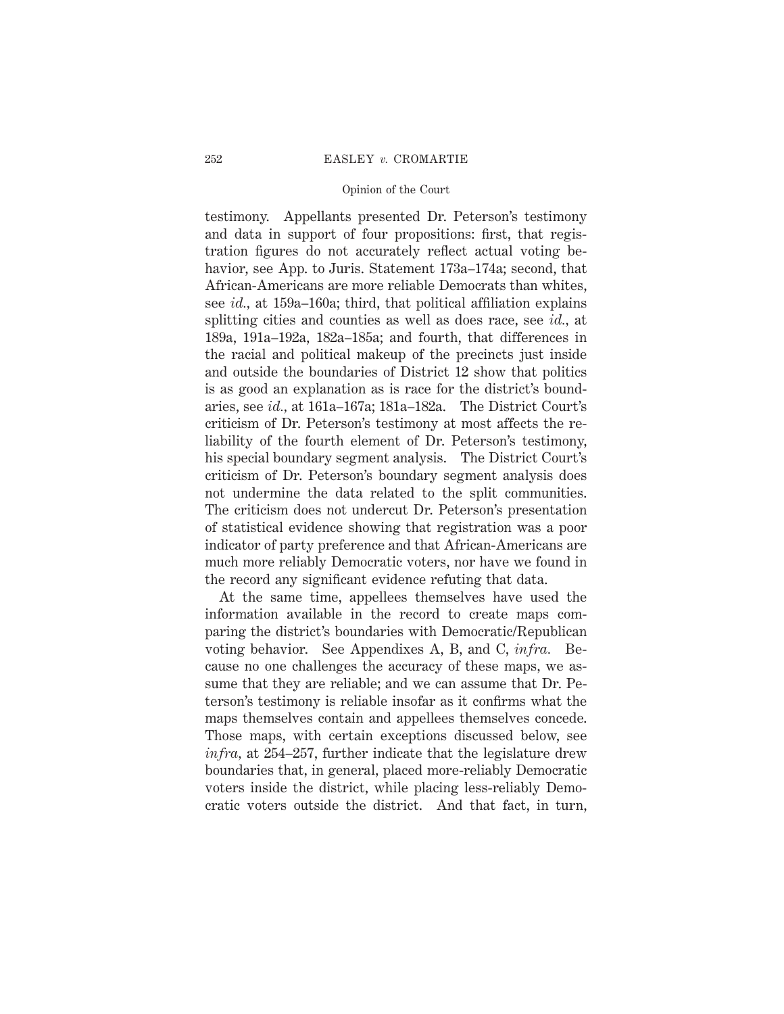testimony. Appellants presented Dr. Peterson's testimony and data in support of four propositions: first, that registration figures do not accurately reflect actual voting behavior, see App. to Juris. Statement 173a–174a; second, that African-Americans are more reliable Democrats than whites, see *id.,* at 159a–160a; third, that political affiliation explains splitting cities and counties as well as does race, see *id.,* at 189a, 191a–192a, 182a–185a; and fourth, that differences in the racial and political makeup of the precincts just inside and outside the boundaries of District 12 show that politics is as good an explanation as is race for the district's boundaries, see *id.,* at 161a–167a; 181a–182a. The District Court's criticism of Dr. Peterson's testimony at most affects the reliability of the fourth element of Dr. Peterson's testimony, his special boundary segment analysis. The District Court's criticism of Dr. Peterson's boundary segment analysis does not undermine the data related to the split communities. The criticism does not undercut Dr. Peterson's presentation of statistical evidence showing that registration was a poor indicator of party preference and that African-Americans are much more reliably Democratic voters, nor have we found in the record any significant evidence refuting that data.

At the same time, appellees themselves have used the information available in the record to create maps comparing the district's boundaries with Democratic/Republican voting behavior. See Appendixes A, B, and C, *infra.* Because no one challenges the accuracy of these maps, we assume that they are reliable; and we can assume that Dr. Peterson's testimony is reliable insofar as it confirms what the maps themselves contain and appellees themselves concede. Those maps, with certain exceptions discussed below, see *infra,* at 254–257, further indicate that the legislature drew boundaries that, in general, placed more-reliably Democratic voters inside the district, while placing less-reliably Democratic voters outside the district. And that fact, in turn,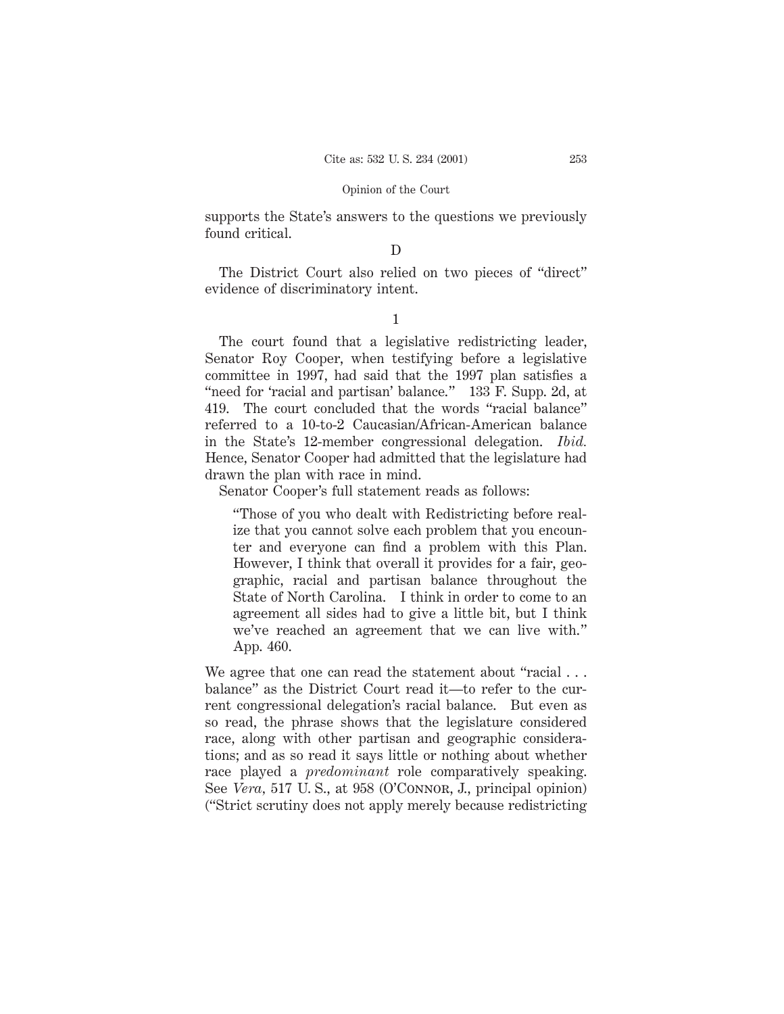supports the State's answers to the questions we previously found critical.

# D

The District Court also relied on two pieces of "direct" evidence of discriminatory intent.

1

The court found that a legislative redistricting leader, Senator Roy Cooper, when testifying before a legislative committee in 1997, had said that the 1997 plan satisfies a "need for 'racial and partisan' balance." 133 F. Supp. 2d, at 419. The court concluded that the words "racial balance" referred to a 10-to-2 Caucasian/African-American balance in the State's 12-member congressional delegation. *Ibid.* Hence, Senator Cooper had admitted that the legislature had drawn the plan with race in mind.

Senator Cooper's full statement reads as follows:

"Those of you who dealt with Redistricting before realize that you cannot solve each problem that you encounter and everyone can find a problem with this Plan. However, I think that overall it provides for a fair, geographic, racial and partisan balance throughout the State of North Carolina. I think in order to come to an agreement all sides had to give a little bit, but I think we've reached an agreement that we can live with." App. 460.

We agree that one can read the statement about "racial... balance" as the District Court read it—to refer to the current congressional delegation's racial balance. But even as so read, the phrase shows that the legislature considered race, along with other partisan and geographic considerations; and as so read it says little or nothing about whether race played a *predominant* role comparatively speaking. See *Vera,* 517 U. S., at 958 (O'Connor, J., principal opinion) ("Strict scrutiny does not apply merely because redistricting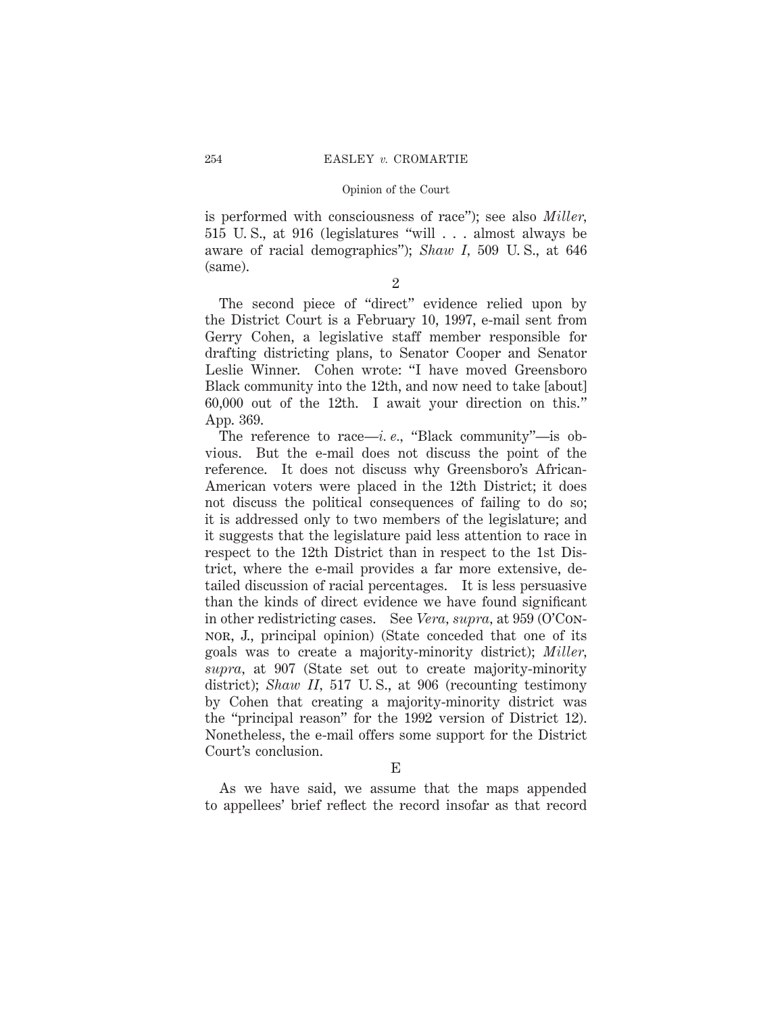is performed with consciousness of race"); see also *Miller,* 515 U. S., at 916 (legislatures "will . . . almost always be aware of racial demographics"); *Shaw I,* 509 U. S., at 646 (same).

2

The second piece of "direct" evidence relied upon by the District Court is a February 10, 1997, e-mail sent from Gerry Cohen, a legislative staff member responsible for drafting districting plans, to Senator Cooper and Senator Leslie Winner. Cohen wrote: "I have moved Greensboro Black community into the 12th, and now need to take [about] 60,000 out of the 12th. I await your direction on this." App. 369.

The reference to race—*i. e.,* "Black community"—is obvious. But the e-mail does not discuss the point of the reference. It does not discuss why Greensboro's African-American voters were placed in the 12th District; it does not discuss the political consequences of failing to do so; it is addressed only to two members of the legislature; and it suggests that the legislature paid less attention to race in respect to the 12th District than in respect to the 1st District, where the e-mail provides a far more extensive, detailed discussion of racial percentages. It is less persuasive than the kinds of direct evidence we have found significant in other redistricting cases. See *Vera, supra,* at 959 (O'Connor, J., principal opinion) (State conceded that one of its goals was to create a majority-minority district); *Miller, supra,* at 907 (State set out to create majority-minority district); *Shaw II*, 517 U.S., at 906 (recounting testimony by Cohen that creating a majority-minority district was the "principal reason" for the 1992 version of District 12). Nonetheless, the e-mail offers some support for the District Court's conclusion.

E

As we have said, we assume that the maps appended to appellees' brief reflect the record insofar as that record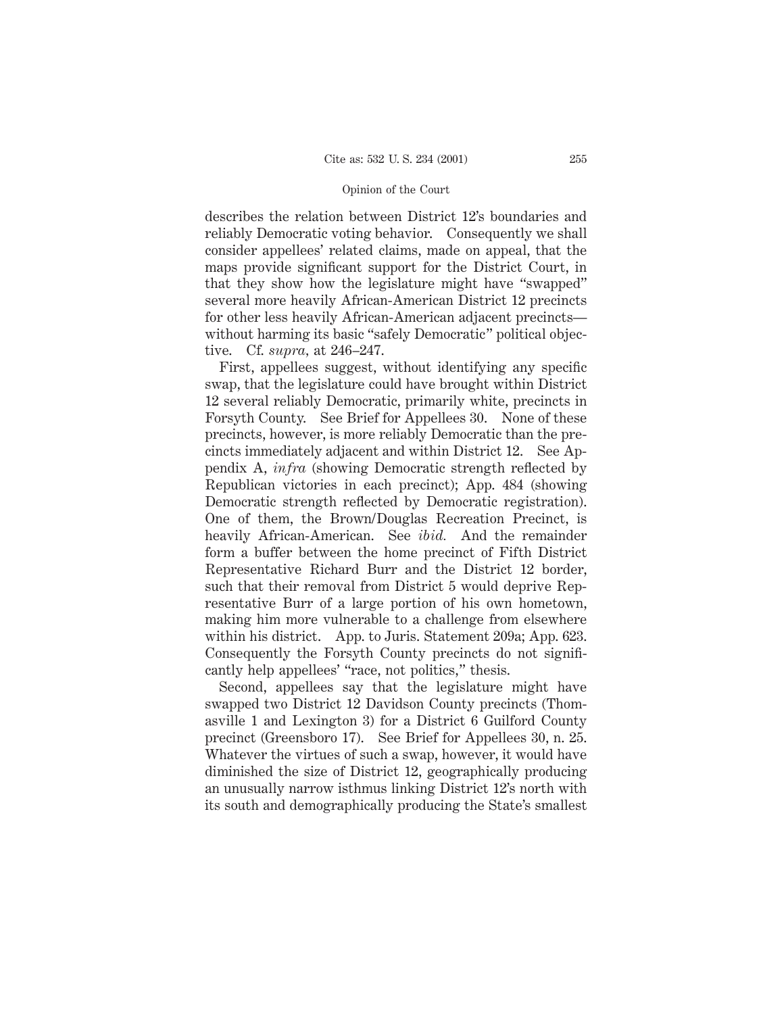describes the relation between District 12's boundaries and reliably Democratic voting behavior. Consequently we shall consider appellees' related claims, made on appeal, that the maps provide significant support for the District Court, in that they show how the legislature might have "swapped" several more heavily African-American District 12 precincts for other less heavily African-American adjacent precincts without harming its basic "safely Democratic" political objective. Cf. *supra,* at 246–247.

First, appellees suggest, without identifying any specific swap, that the legislature could have brought within District 12 several reliably Democratic, primarily white, precincts in Forsyth County. See Brief for Appellees 30. None of these precincts, however, is more reliably Democratic than the precincts immediately adjacent and within District 12. See Appendix A, *infra* (showing Democratic strength reflected by Republican victories in each precinct); App. 484 (showing Democratic strength reflected by Democratic registration). One of them, the Brown/Douglas Recreation Precinct, is heavily African-American. See *ibid.* And the remainder form a buffer between the home precinct of Fifth District Representative Richard Burr and the District 12 border, such that their removal from District 5 would deprive Representative Burr of a large portion of his own hometown, making him more vulnerable to a challenge from elsewhere within his district. App. to Juris. Statement 209a; App. 623. Consequently the Forsyth County precincts do not significantly help appellees' "race, not politics," thesis.

Second, appellees say that the legislature might have swapped two District 12 Davidson County precincts (Thomasville 1 and Lexington 3) for a District 6 Guilford County precinct (Greensboro 17). See Brief for Appellees 30, n. 25. Whatever the virtues of such a swap, however, it would have diminished the size of District 12, geographically producing an unusually narrow isthmus linking District 12's north with its south and demographically producing the State's smallest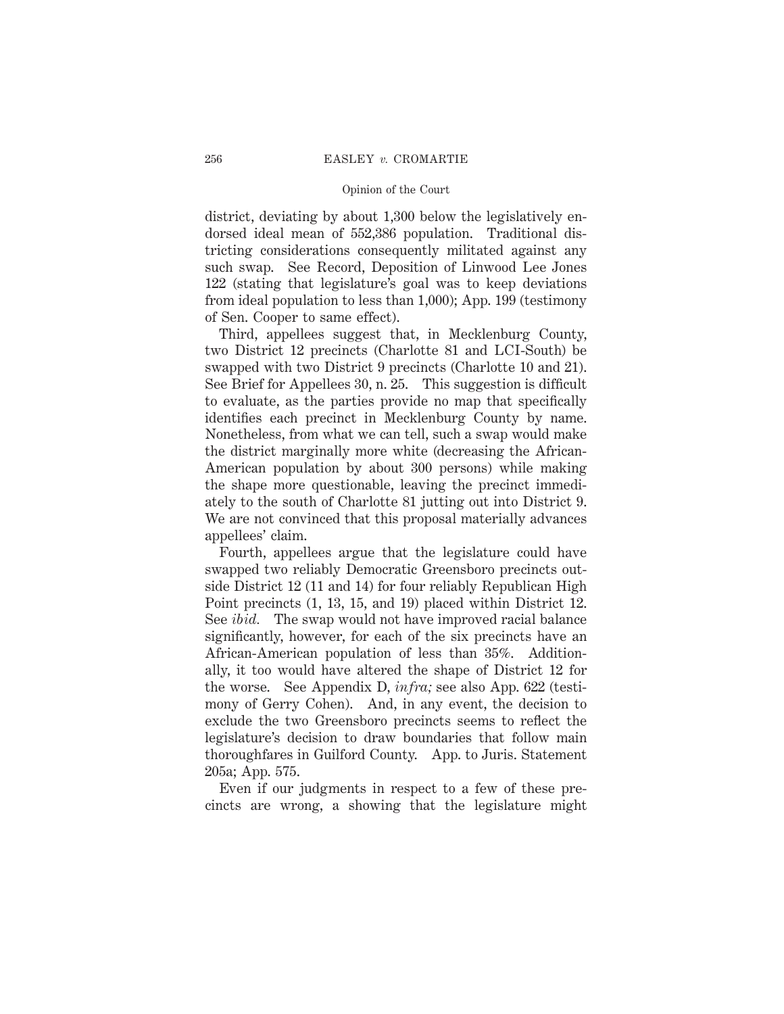district, deviating by about 1,300 below the legislatively endorsed ideal mean of 552,386 population. Traditional districting considerations consequently militated against any such swap. See Record, Deposition of Linwood Lee Jones 122 (stating that legislature's goal was to keep deviations from ideal population to less than 1,000); App. 199 (testimony of Sen. Cooper to same effect).

Third, appellees suggest that, in Mecklenburg County, two District 12 precincts (Charlotte 81 and LCI-South) be swapped with two District 9 precincts (Charlotte 10 and 21). See Brief for Appellees 30, n. 25. This suggestion is difficult to evaluate, as the parties provide no map that specifically identifies each precinct in Mecklenburg County by name. Nonetheless, from what we can tell, such a swap would make the district marginally more white (decreasing the African-American population by about 300 persons) while making the shape more questionable, leaving the precinct immediately to the south of Charlotte 81 jutting out into District 9. We are not convinced that this proposal materially advances appellees' claim.

Fourth, appellees argue that the legislature could have swapped two reliably Democratic Greensboro precincts outside District 12 (11 and 14) for four reliably Republican High Point precincts (1, 13, 15, and 19) placed within District 12. See *ibid.* The swap would not have improved racial balance significantly, however, for each of the six precincts have an African-American population of less than 35%. Additionally, it too would have altered the shape of District 12 for the worse. See Appendix D, *infra;* see also App. 622 (testimony of Gerry Cohen). And, in any event, the decision to exclude the two Greensboro precincts seems to reflect the legislature's decision to draw boundaries that follow main thoroughfares in Guilford County. App. to Juris. Statement 205a; App. 575.

Even if our judgments in respect to a few of these precincts are wrong, a showing that the legislature might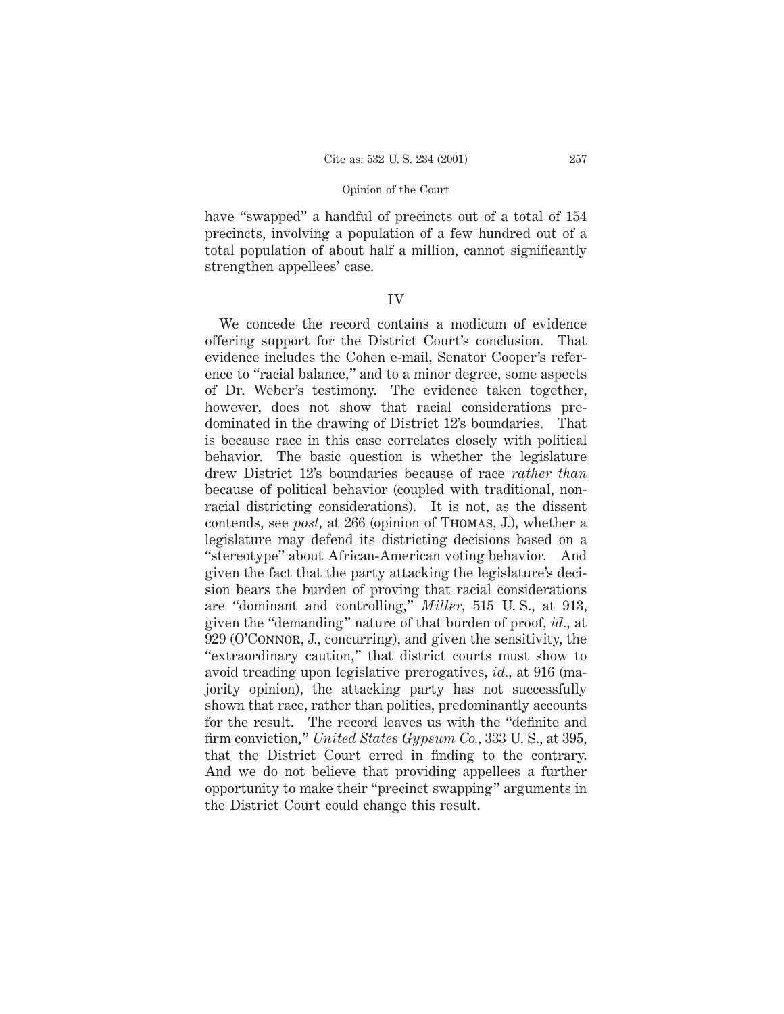have "swapped" a handful of precincts out of a total of  $154$ precincts, involving a population of a few hundred out of a total population of about half a million, cannot significantly strengthen appellees' case.

# IV

We concede the record contains a modicum of evidence offering support for the District Court's conclusion. That evidence includes the Cohen e-mail, Senator Cooper's reference to "racial balance," and to a minor degree, some aspects of Dr. Weber's testimony. The evidence taken together, however, does not show that racial considerations predominated in the drawing of District 12's boundaries. That is because race in this case correlates closely with political behavior. The basic question is whether the legislature drew District 12's boundaries because of race *rather than* because of political behavior (coupled with traditional, nonracial districting considerations). It is not, as the dissent contends, see *post,* at 266 (opinion of Thomas, J.), whether a legislature may defend its districting decisions based on a "stereotype" about African-American voting behavior. And given the fact that the party attacking the legislature's decision bears the burden of proving that racial considerations are "dominant and controlling," *Miller,* 515 U. S., at 913, given the "demanding" nature of that burden of proof, *id.,* at 929 (O'Connor, J., concurring), and given the sensitivity, the "extraordinary caution," that district courts must show to avoid treading upon legislative prerogatives, *id.,* at 916 (majority opinion), the attacking party has not successfully shown that race, rather than politics, predominantly accounts for the result. The record leaves us with the "definite and firm conviction," *United States Gypsum Co.,* 333 U. S., at 395, that the District Court erred in finding to the contrary. And we do not believe that providing appellees a further opportunity to make their "precinct swapping" arguments in the District Court could change this result.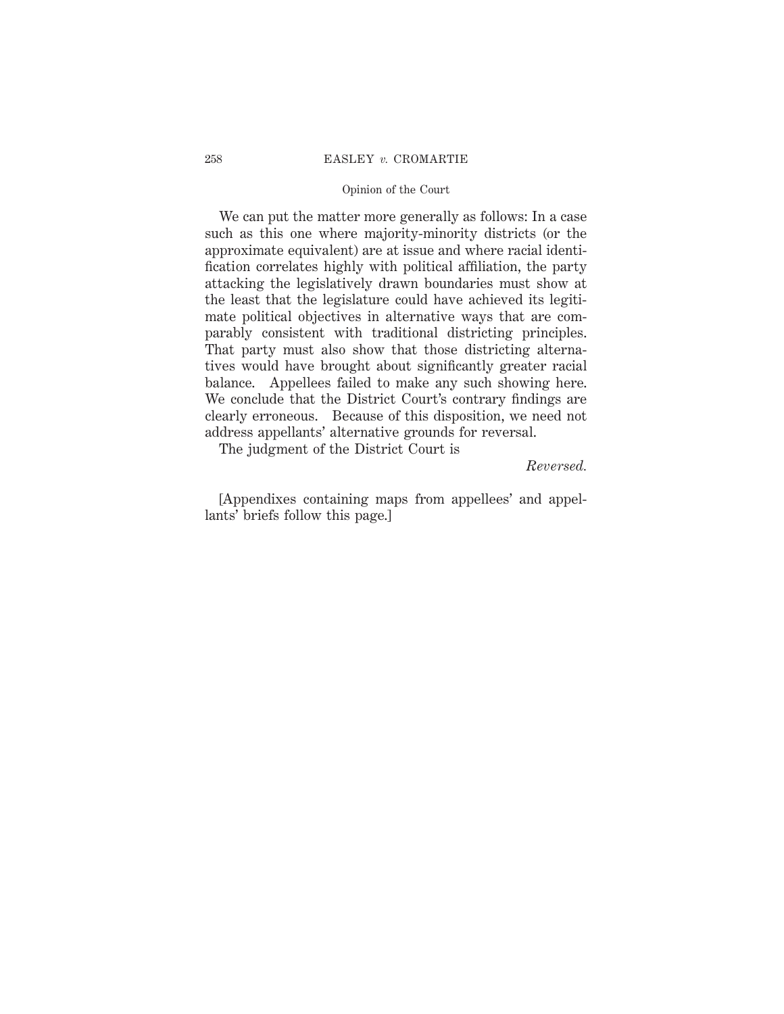#### 258 EASLEY *v.* CROMARTIE

### Opinion of the Court

We can put the matter more generally as follows: In a case such as this one where majority-minority districts (or the approximate equivalent) are at issue and where racial identification correlates highly with political affiliation, the party attacking the legislatively drawn boundaries must show at the least that the legislature could have achieved its legitimate political objectives in alternative ways that are comparably consistent with traditional districting principles. That party must also show that those districting alternatives would have brought about significantly greater racial balance. Appellees failed to make any such showing here. We conclude that the District Court's contrary findings are clearly erroneous. Because of this disposition, we need not address appellants' alternative grounds for reversal.

The judgment of the District Court is

# *Reversed.*

[Appendixes containing maps from appellees' and appellants' briefs follow this page.]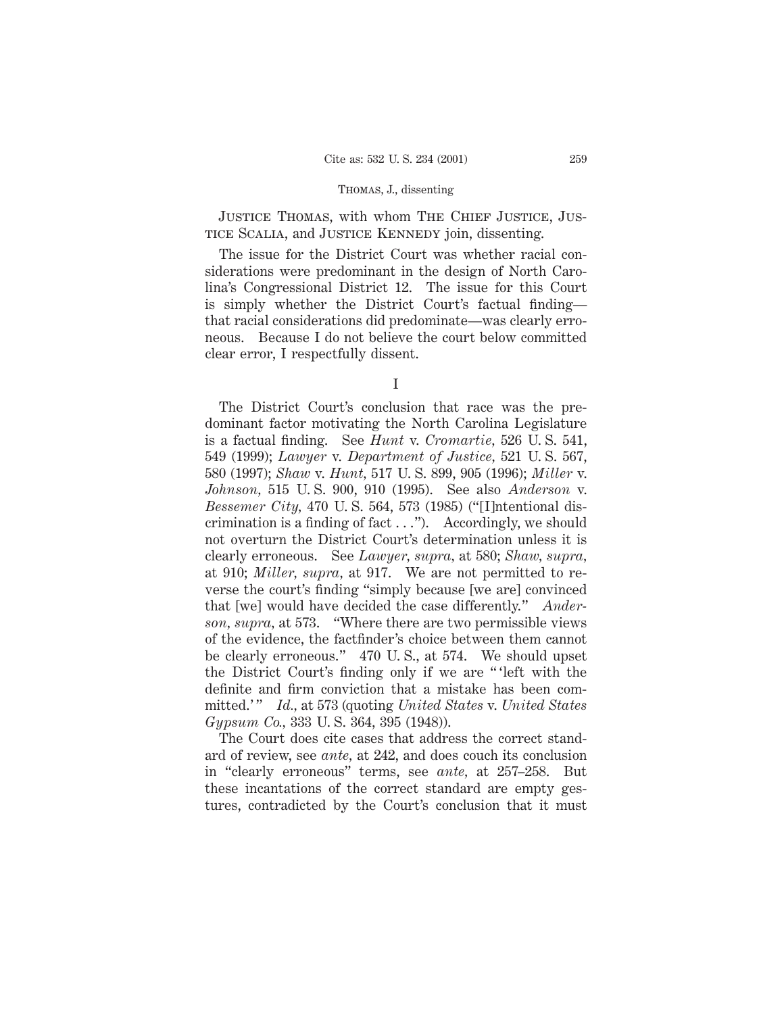JUSTICE THOMAS, with whom THE CHIEF JUSTICE, JUStice Scalia, and Justice Kennedy join, dissenting.

The issue for the District Court was whether racial considerations were predominant in the design of North Carolina's Congressional District 12. The issue for this Court is simply whether the District Court's factual finding that racial considerations did predominate—was clearly erroneous. Because I do not believe the court below committed clear error, I respectfully dissent.

The District Court's conclusion that race was the predominant factor motivating the North Carolina Legislature is a factual finding. See *Hunt* v. *Cromartie,* 526 U. S. 541, 549 (1999); *Lawyer* v. *Department of Justice,* 521 U. S. 567, 580 (1997); *Shaw* v. *Hunt,* 517 U. S. 899, 905 (1996); *Miller* v. *Johnson,* 515 U. S. 900, 910 (1995). See also *Anderson* v. *Bessemer City,* 470 U. S. 564, 573 (1985) ("[I]ntentional discrimination is a finding of fact  $\dots$ "). Accordingly, we should not overturn the District Court's determination unless it is clearly erroneous. See *Lawyer, supra,* at 580; *Shaw, supra,* at 910; *Miller, supra,* at 917. We are not permitted to reverse the court's finding "simply because [we are] convinced that [we] would have decided the case differently." *Anderson, supra,* at 573. "Where there are two permissible views of the evidence, the factfinder's choice between them cannot be clearly erroneous." 470 U. S., at 574. We should upset the District Court's finding only if we are " 'left with the definite and firm conviction that a mistake has been committed.' " *Id.,* at 573 (quoting *United States* v. *United States Gypsum Co.,* 333 U. S. 364, 395 (1948)).

The Court does cite cases that address the correct standard of review, see *ante,* at 242, and does couch its conclusion in "clearly erroneous" terms, see *ante,* at 257–258. But these incantations of the correct standard are empty gestures, contradicted by the Court's conclusion that it must

I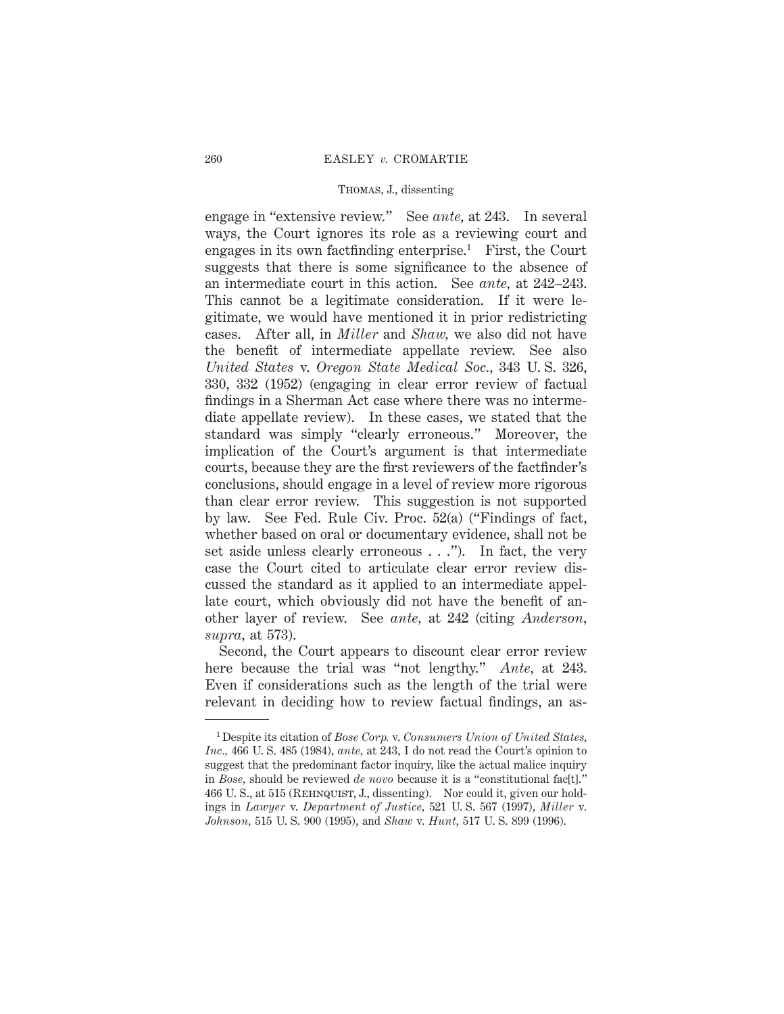engage in "extensive review." See *ante,* at 243. In several ways, the Court ignores its role as a reviewing court and engages in its own factfinding enterprise.<sup>1</sup> First, the Court suggests that there is some significance to the absence of an intermediate court in this action. See *ante,* at 242–243. This cannot be a legitimate consideration. If it were legitimate, we would have mentioned it in prior redistricting cases. After all, in *Miller* and *Shaw,* we also did not have the benefit of intermediate appellate review. See also *United States* v. *Oregon State Medical Soc.,* 343 U. S. 326, 330, 332 (1952) (engaging in clear error review of factual findings in a Sherman Act case where there was no intermediate appellate review). In these cases, we stated that the standard was simply "clearly erroneous." Moreover, the implication of the Court's argument is that intermediate courts, because they are the first reviewers of the factfinder's conclusions, should engage in a level of review more rigorous than clear error review. This suggestion is not supported by law. See Fed. Rule Civ. Proc. 52(a) ("Findings of fact, whether based on oral or documentary evidence, shall not be set aside unless clearly erroneous . . ."). In fact, the very case the Court cited to articulate clear error review discussed the standard as it applied to an intermediate appellate court, which obviously did not have the benefit of another layer of review. See *ante,* at 242 (citing *Anderson, supra,* at 573).

Second, the Court appears to discount clear error review here because the trial was "not lengthy." *Ante,* at 243. Even if considerations such as the length of the trial were relevant in deciding how to review factual findings, an as-

<sup>1</sup> Despite its citation of *Bose Corp.* v. *Consumers Union of United States, Inc.,* 466 U. S. 485 (1984), *ante,* at 243, I do not read the Court's opinion to suggest that the predominant factor inquiry, like the actual malice inquiry in *Bose,* should be reviewed *de novo* because it is a "constitutional fac[t]." 466 U. S., at 515 (Rehnquist, J., dissenting). Nor could it, given our holdings in *Lawyer* v. *Department of Justice,* 521 U. S. 567 (1997), *Miller* v*. Johnson,* 515 U. S. 900 (1995), and *Shaw* v. *Hunt,* 517 U. S. 899 (1996).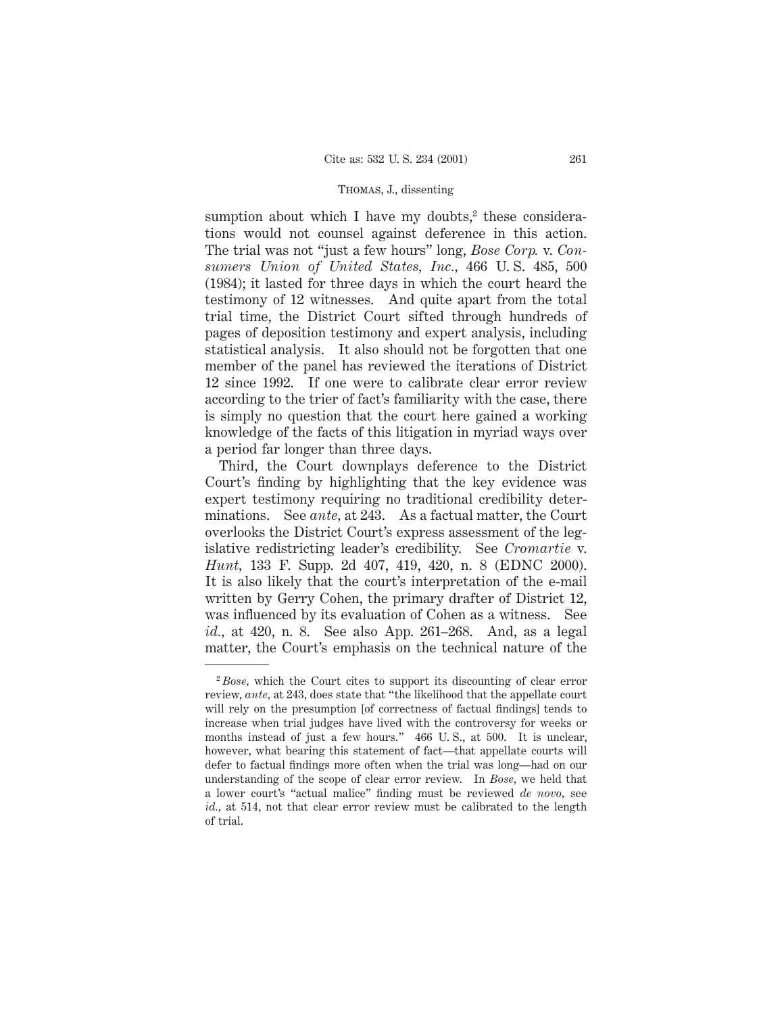sumption about which I have my doubts, $2$  these considerations would not counsel against deference in this action. The trial was not "just a few hours" long, *Bose Corp.* v. *Consumers Union of United States, Inc.,* 466 U. S. 485, 500 (1984); it lasted for three days in which the court heard the testimony of 12 witnesses. And quite apart from the total trial time, the District Court sifted through hundreds of pages of deposition testimony and expert analysis, including statistical analysis. It also should not be forgotten that one member of the panel has reviewed the iterations of District 12 since 1992. If one were to calibrate clear error review according to the trier of fact's familiarity with the case, there is simply no question that the court here gained a working knowledge of the facts of this litigation in myriad ways over a period far longer than three days.

Third, the Court downplays deference to the District Court's finding by highlighting that the key evidence was expert testimony requiring no traditional credibility determinations. See *ante,* at 243. As a factual matter, the Court overlooks the District Court's express assessment of the legislative redistricting leader's credibility. See *Cromartie* v. *Hunt,* 133 F. Supp. 2d 407, 419, 420, n. 8 (EDNC 2000). It is also likely that the court's interpretation of the e-mail written by Gerry Cohen, the primary drafter of District 12, was influenced by its evaluation of Cohen as a witness. See *id.,* at 420, n. 8. See also App. 261–268. And, as a legal matter, the Court's emphasis on the technical nature of the

<sup>2</sup> *Bose,* which the Court cites to support its discounting of clear error review, *ante,* at 243, does state that "the likelihood that the appellate court will rely on the presumption [of correctness of factual findings] tends to increase when trial judges have lived with the controversy for weeks or months instead of just a few hours." 466 U. S., at 500. It is unclear, however, what bearing this statement of fact—that appellate courts will defer to factual findings more often when the trial was long—had on our understanding of the scope of clear error review. In *Bose,* we held that a lower court's "actual malice" finding must be reviewed *de novo,* see *id.,* at 514, not that clear error review must be calibrated to the length of trial.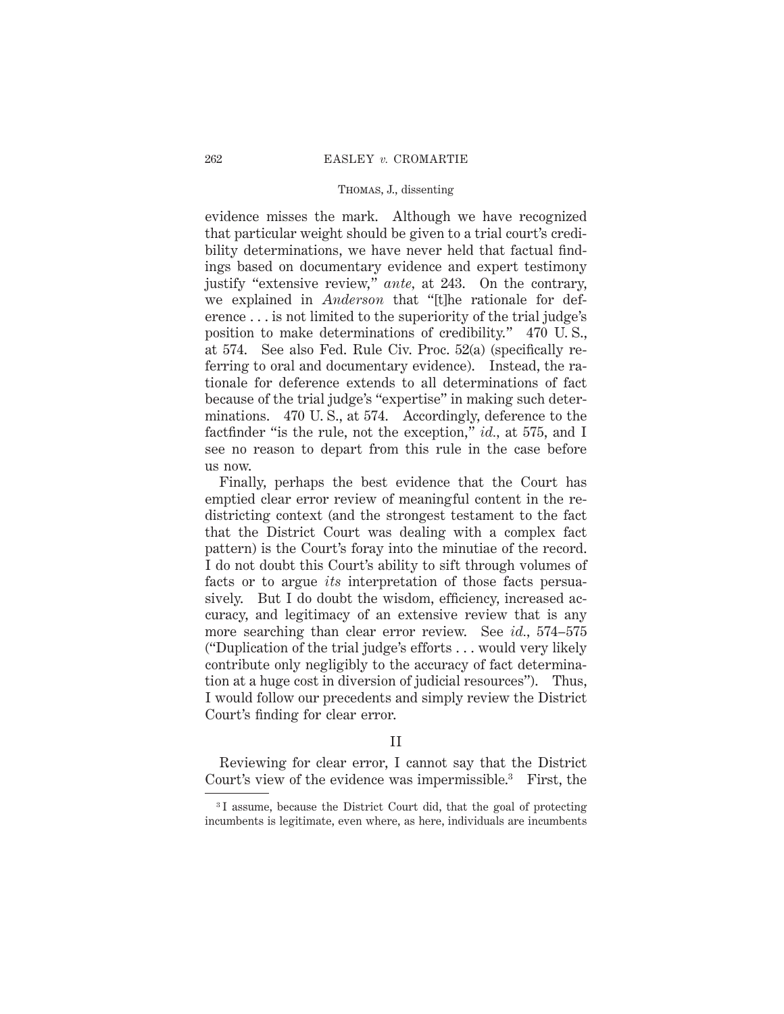evidence misses the mark. Although we have recognized that particular weight should be given to a trial court's credibility determinations, we have never held that factual findings based on documentary evidence and expert testimony justify "extensive review," *ante,* at 243. On the contrary, we explained in *Anderson* that "[t]he rationale for deference . . . is not limited to the superiority of the trial judge's position to make determinations of credibility." 470 U. S., at 574. See also Fed. Rule Civ. Proc. 52(a) (specifically referring to oral and documentary evidence). Instead, the rationale for deference extends to all determinations of fact because of the trial judge's "expertise" in making such determinations. 470 U. S., at 574. Accordingly, deference to the factfinder "is the rule, not the exception," *id.,* at 575, and I see no reason to depart from this rule in the case before us now.

Finally, perhaps the best evidence that the Court has emptied clear error review of meaningful content in the redistricting context (and the strongest testament to the fact that the District Court was dealing with a complex fact pattern) is the Court's foray into the minutiae of the record. I do not doubt this Court's ability to sift through volumes of facts or to argue *its* interpretation of those facts persuasively. But I do doubt the wisdom, efficiency, increased accuracy, and legitimacy of an extensive review that is any more searching than clear error review. See *id.,* 574–575 ("Duplication of the trial judge's efforts . . . would very likely contribute only negligibly to the accuracy of fact determination at a huge cost in diversion of judicial resources"). Thus, I would follow our precedents and simply review the District Court's finding for clear error.

II

Reviewing for clear error, I cannot say that the District Court's view of the evidence was impermissible.3 First, the

<sup>3</sup> I assume, because the District Court did, that the goal of protecting incumbents is legitimate, even where, as here, individuals are incumbents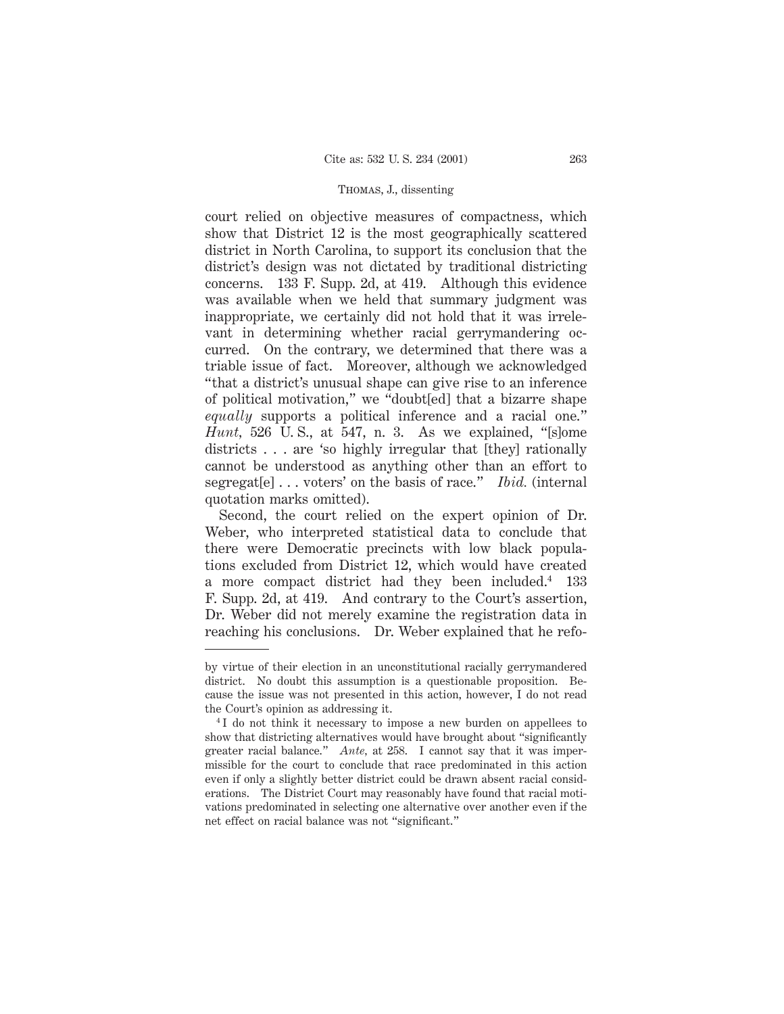court relied on objective measures of compactness, which show that District 12 is the most geographically scattered district in North Carolina, to support its conclusion that the district's design was not dictated by traditional districting concerns. 133 F. Supp. 2d, at 419. Although this evidence was available when we held that summary judgment was inappropriate, we certainly did not hold that it was irrelevant in determining whether racial gerrymandering occurred. On the contrary, we determined that there was a triable issue of fact. Moreover, although we acknowledged "that a district's unusual shape can give rise to an inference of political motivation," we "doubt[ed] that a bizarre shape *equally* supports a political inference and a racial one." *Hunt,* 526 U. S., at 547, n. 3. As we explained, "[s]ome districts . . . are 'so highly irregular that [they] rationally cannot be understood as anything other than an effort to segregat[e]... voters' on the basis of race." *Ibid.* (internal quotation marks omitted).

Second, the court relied on the expert opinion of Dr. Weber, who interpreted statistical data to conclude that there were Democratic precincts with low black populations excluded from District 12, which would have created a more compact district had they been included.4 133 F. Supp. 2d, at 419. And contrary to the Court's assertion, Dr. Weber did not merely examine the registration data in reaching his conclusions. Dr. Weber explained that he refo-

by virtue of their election in an unconstitutional racially gerrymandered district. No doubt this assumption is a questionable proposition. Because the issue was not presented in this action, however, I do not read the Court's opinion as addressing it.

<sup>4</sup> I do not think it necessary to impose a new burden on appellees to show that districting alternatives would have brought about "significantly greater racial balance." *Ante,* at 258. I cannot say that it was impermissible for the court to conclude that race predominated in this action even if only a slightly better district could be drawn absent racial considerations. The District Court may reasonably have found that racial motivations predominated in selecting one alternative over another even if the net effect on racial balance was not "significant."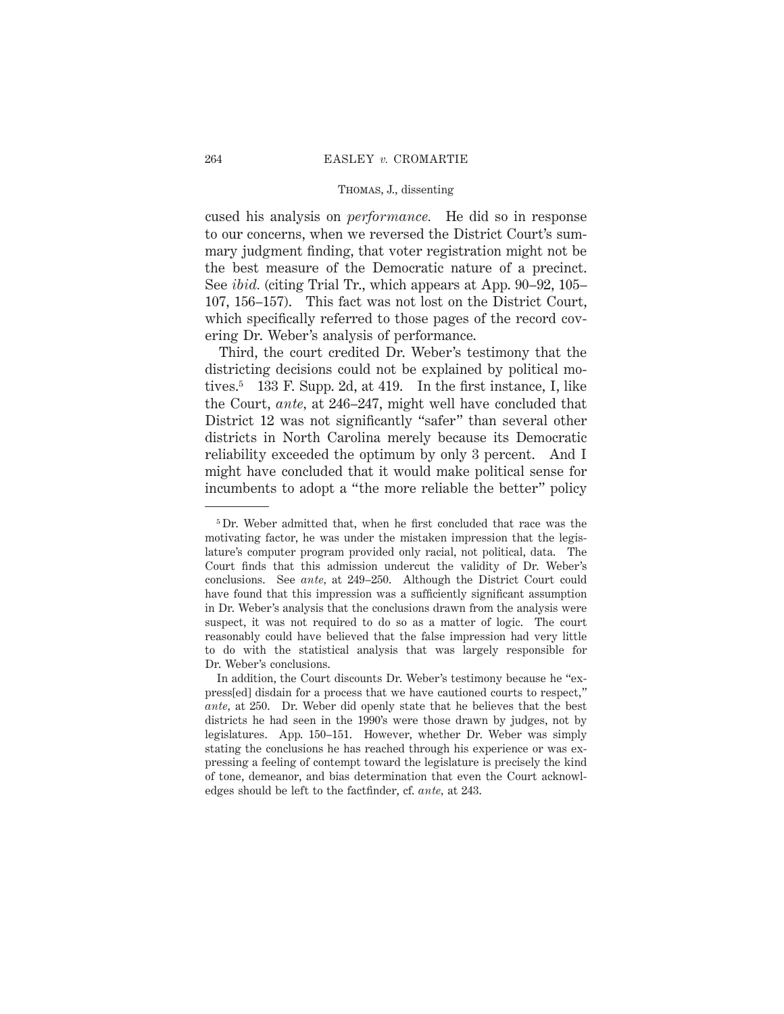cused his analysis on *performance.* He did so in response to our concerns, when we reversed the District Court's summary judgment finding, that voter registration might not be the best measure of the Democratic nature of a precinct. See *ibid.* (citing Trial Tr., which appears at App. 90–92, 105– 107, 156–157). This fact was not lost on the District Court, which specifically referred to those pages of the record covering Dr. Weber's analysis of performance.

Third, the court credited Dr. Weber's testimony that the districting decisions could not be explained by political motives.5 133 F. Supp. 2d, at 419. In the first instance, I, like the Court, *ante,* at 246–247, might well have concluded that District 12 was not significantly "safer" than several other districts in North Carolina merely because its Democratic reliability exceeded the optimum by only 3 percent. And I might have concluded that it would make political sense for incumbents to adopt a "the more reliable the better" policy

<sup>&</sup>lt;sup>5</sup> Dr. Weber admitted that, when he first concluded that race was the motivating factor, he was under the mistaken impression that the legislature's computer program provided only racial, not political, data. The Court finds that this admission undercut the validity of Dr. Weber's conclusions. See *ante,* at 249–250. Although the District Court could have found that this impression was a sufficiently significant assumption in Dr. Weber's analysis that the conclusions drawn from the analysis were suspect, it was not required to do so as a matter of logic. The court reasonably could have believed that the false impression had very little to do with the statistical analysis that was largely responsible for Dr. Weber's conclusions.

In addition, the Court discounts Dr. Weber's testimony because he "express[ed] disdain for a process that we have cautioned courts to respect," *ante,* at 250. Dr. Weber did openly state that he believes that the best districts he had seen in the 1990's were those drawn by judges, not by legislatures. App. 150–151. However, whether Dr. Weber was simply stating the conclusions he has reached through his experience or was expressing a feeling of contempt toward the legislature is precisely the kind of tone, demeanor, and bias determination that even the Court acknowledges should be left to the factfinder, cf. *ante,* at 243.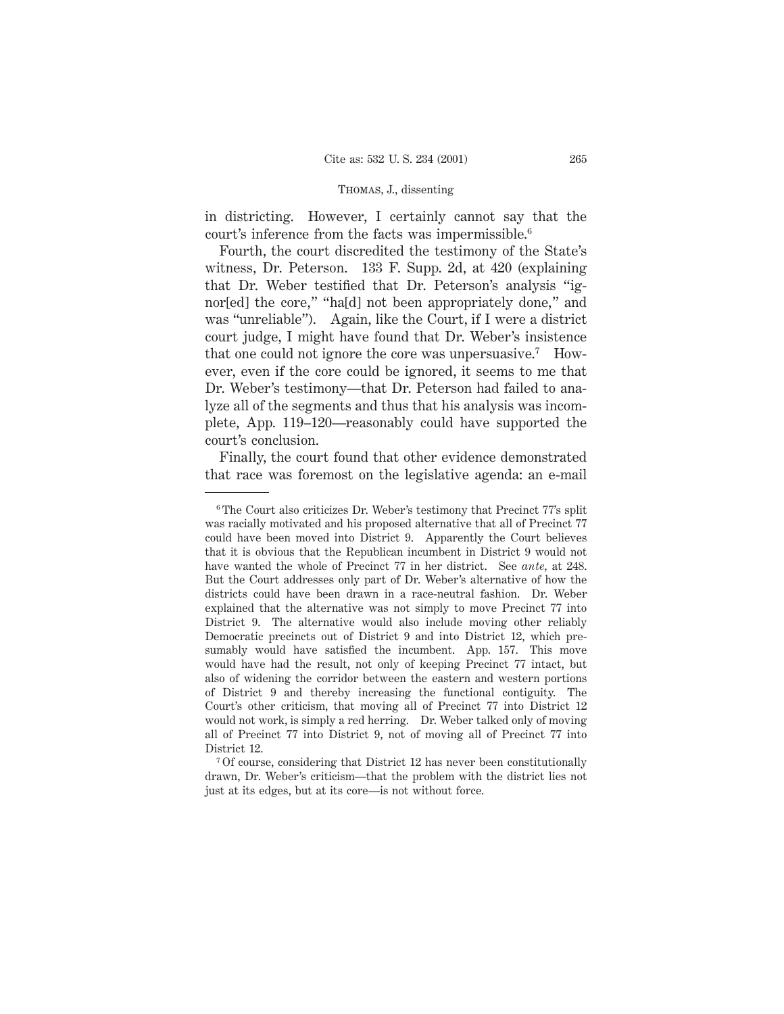in districting. However, I certainly cannot say that the court's inference from the facts was impermissible.6

Fourth, the court discredited the testimony of the State's witness, Dr. Peterson. 133 F. Supp. 2d, at 420 (explaining that Dr. Weber testified that Dr. Peterson's analysis "ignor[ed] the core," "ha[d] not been appropriately done," and was "unreliable"). Again, like the Court, if I were a district court judge, I might have found that Dr. Weber's insistence that one could not ignore the core was unpersuasive.7 However, even if the core could be ignored, it seems to me that Dr. Weber's testimony—that Dr. Peterson had failed to analyze all of the segments and thus that his analysis was incomplete, App. 119–120—reasonably could have supported the court's conclusion.

Finally, the court found that other evidence demonstrated that race was foremost on the legislative agenda: an e-mail

<sup>6</sup> The Court also criticizes Dr. Weber's testimony that Precinct 77's split was racially motivated and his proposed alternative that all of Precinct 77 could have been moved into District 9. Apparently the Court believes that it is obvious that the Republican incumbent in District 9 would not have wanted the whole of Precinct 77 in her district. See *ante,* at 248. But the Court addresses only part of Dr. Weber's alternative of how the districts could have been drawn in a race-neutral fashion. Dr. Weber explained that the alternative was not simply to move Precinct 77 into District 9. The alternative would also include moving other reliably Democratic precincts out of District 9 and into District 12, which presumably would have satisfied the incumbent. App. 157. This move would have had the result, not only of keeping Precinct 77 intact, but also of widening the corridor between the eastern and western portions of District 9 and thereby increasing the functional contiguity. The Court's other criticism, that moving all of Precinct 77 into District 12 would not work, is simply a red herring. Dr. Weber talked only of moving all of Precinct 77 into District 9, not of moving all of Precinct 77 into District 12.

<sup>7</sup> Of course, considering that District 12 has never been constitutionally drawn, Dr. Weber's criticism—that the problem with the district lies not just at its edges, but at its core—is not without force.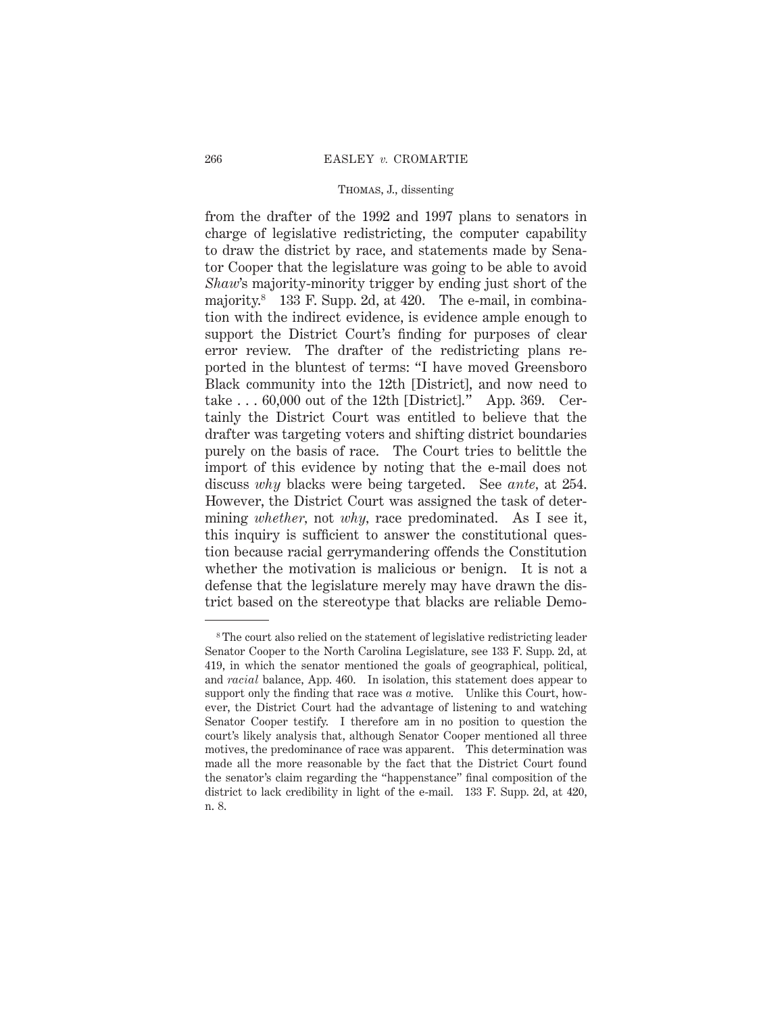from the drafter of the 1992 and 1997 plans to senators in charge of legislative redistricting, the computer capability to draw the district by race, and statements made by Senator Cooper that the legislature was going to be able to avoid *Shaw*'s majority-minority trigger by ending just short of the majority.<sup>8</sup> 133 F. Supp. 2d, at 420. The e-mail, in combination with the indirect evidence, is evidence ample enough to support the District Court's finding for purposes of clear error review. The drafter of the redistricting plans reported in the bluntest of terms: "I have moved Greensboro Black community into the 12th [District], and now need to take  $\ldots$  60,000 out of the 12th [District]." App. 369. Certainly the District Court was entitled to believe that the drafter was targeting voters and shifting district boundaries purely on the basis of race. The Court tries to belittle the import of this evidence by noting that the e-mail does not discuss *why* blacks were being targeted. See *ante,* at 254. However, the District Court was assigned the task of determining *whether,* not *why,* race predominated. As I see it, this inquiry is sufficient to answer the constitutional question because racial gerrymandering offends the Constitution whether the motivation is malicious or benign. It is not a defense that the legislature merely may have drawn the district based on the stereotype that blacks are reliable Demo-

<sup>&</sup>lt;sup>8</sup>The court also relied on the statement of legislative redistricting leader Senator Cooper to the North Carolina Legislature, see 133 F. Supp. 2d, at 419, in which the senator mentioned the goals of geographical, political, and *racial* balance, App. 460. In isolation, this statement does appear to support only the finding that race was *a* motive. Unlike this Court, however, the District Court had the advantage of listening to and watching Senator Cooper testify. I therefore am in no position to question the court's likely analysis that, although Senator Cooper mentioned all three motives, the predominance of race was apparent. This determination was made all the more reasonable by the fact that the District Court found the senator's claim regarding the "happenstance" final composition of the district to lack credibility in light of the e-mail. 133 F. Supp. 2d, at 420, n. 8.